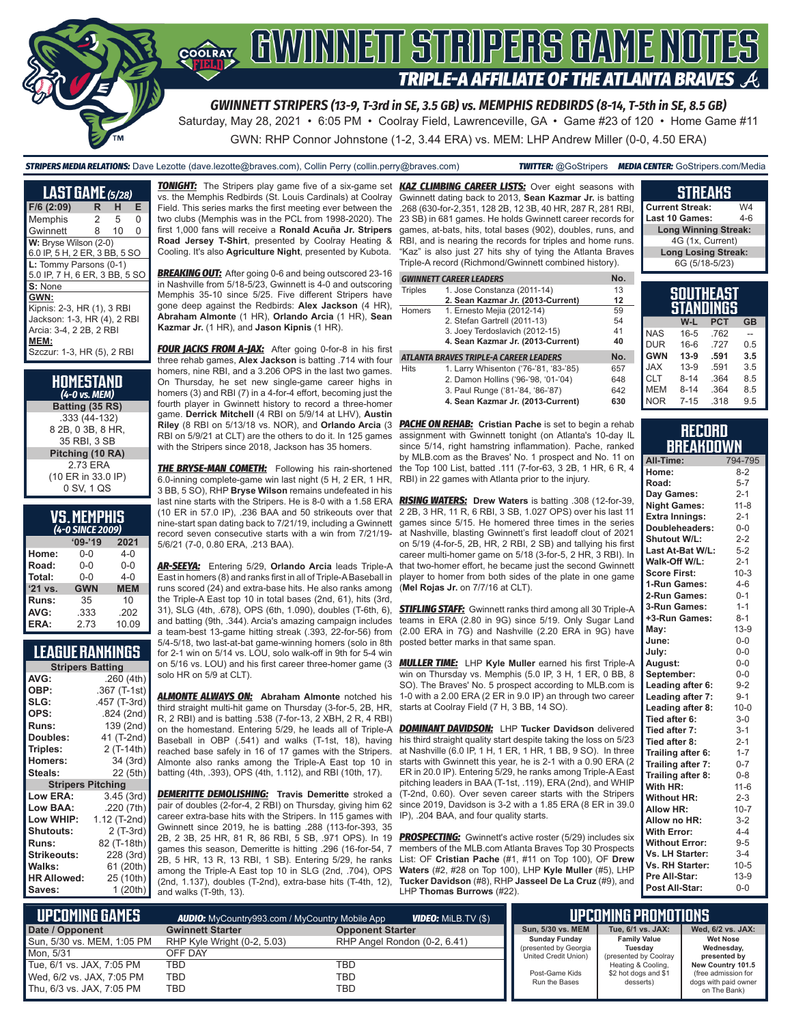

*GWINNETT STRIPERS (13-9, T-3rd in SE, 3.5 GB) vs. MEMPHIS REDBIRDS (8-14, T-5th in SE, 8.5 GB)* Saturday, May 28, 2021 • 6:05 PM • Coolray Field, Lawrenceville, GA • Game #23 of 120 • Home Game #11

GWN: RHP Connor Johnstone (1-2, 3.44 ERA) vs. MEM: LHP Andrew Miller (0-0, 4.50 ERA)

*STRIPERS MEDIA RELATIONS:* Dave Lezotte (dave.lezotte@braves.com), Collin Perry (collin.perry@braves.com) *TWITTER:* @GoStripers *MEDIA CENTER:* GoStripers.com/Media

| <b>LAST GAME</b> (5/28)                                                                                                            |   |    |   |
|------------------------------------------------------------------------------------------------------------------------------------|---|----|---|
| $F/6$ (2:09)                                                                                                                       | R | н  | Е |
| Memphis                                                                                                                            | 2 | 5  | O |
| Gwinnett                                                                                                                           | 8 | 10 | O |
| W: Bryse Wilson (2-0)<br>6.0 IP, 5 H, 2 ER, 3 BB, 5 SO                                                                             |   |    |   |
| L: Tommy Parsons (0-1)<br>5.0 IP, 7 H, 6 ER, 3 BB, 5 SO                                                                            |   |    |   |
| S: None                                                                                                                            |   |    |   |
| GWN:<br>Kipnis: 2-3, HR (1), 3 RBI<br>Jackson: 1-3, HR (4), 2 RBI<br>Arcia: 3-4, 2 2B, 2 RBI<br>MEM:<br>Szczur: 1-3, HR (5), 2 RBI |   |    |   |

| HOMESTAND<br>(4-0 vs. MEM)                         |
|----------------------------------------------------|
| Batting (35 RS)                                    |
| .333 (44-132)<br>8 2B, 0 3B, 8 HR,<br>35 RBI. 3 SB |
| Pitching (10 RA)                                   |
| 273 FRA<br>(10 ER in 33.0 IP)<br>0 SV, 1 QS        |

| <b>VS. MEMPHIS</b>      |  |  |
|-------------------------|--|--|
| $(L_n \cap CIMCE 2000)$ |  |  |

| (4-0 SINCE 2009) |            |            |  |  |  |
|------------------|------------|------------|--|--|--|
|                  | $09 - 19$  | 2021       |  |  |  |
| Home:            | 0-0        | 4-0        |  |  |  |
| Road:            | $0 - 0$    | $0 - 0$    |  |  |  |
| Total:           | $0 - 0$    | $4 - 0$    |  |  |  |
| '21 vs.          | <b>GWN</b> | <b>MEM</b> |  |  |  |
| Runs:            | 35         | 10         |  |  |  |
| AVG:             | .333       | .202       |  |  |  |
| ERA:             | 2.73       | 10.09      |  |  |  |

## **LEAGUE RANKINGS**

| <b>Stripers Batting</b>  |              |  |  |  |  |
|--------------------------|--------------|--|--|--|--|
| AVG:                     | .260(4th)    |  |  |  |  |
| OBP:                     | .367 (T-1st) |  |  |  |  |
| SLG:                     | .457 (T-3rd) |  |  |  |  |
| OPS:                     | .824 (2nd)   |  |  |  |  |
| <b>Runs:</b>             | 139 (2nd)    |  |  |  |  |
| <b>Doubles:</b>          | 41 (T-2nd)   |  |  |  |  |
| Triples:                 | 2 (T-14th)   |  |  |  |  |
| <b>Homers:</b>           | 34 (3rd)     |  |  |  |  |
| Steals:                  | 22 (5th)     |  |  |  |  |
| <b>Stripers Pitching</b> |              |  |  |  |  |
| <b>Low ERA:</b>          | 3.45 (3rd)   |  |  |  |  |
| Low BAA:                 | .220(7th)    |  |  |  |  |
| Low WHIP:                | 1.12 (T-2nd) |  |  |  |  |
| <b>Shutouts:</b>         | 2 (T-3rd)    |  |  |  |  |
| <b>Runs:</b>             | 82 (T-18th)  |  |  |  |  |
| <b>Strikeouts:</b>       | 228 (3rd)    |  |  |  |  |
| Walks:                   | 61 (20th)    |  |  |  |  |
| <b>HR Allowed:</b>       | 25 (10th)    |  |  |  |  |
| Saves:                   | 1 (20th)     |  |  |  |  |
|                          |              |  |  |  |  |

vs. the Memphis Redbirds (St. Louis Cardinals) at Coolray Field. This series marks the first meeting ever between the two clubs (Memphis was in the PCL from 1998-2020). The first 1,000 fans will receive a **Ronald Acuña Jr. Stripers Road Jersey T-Shirt**, presented by Coolray Heating & Cooling. It's also **Agriculture Night**, presented by Kubota.

**BREAKING OUT:** After going 0-6 and being outscored 23-16 in Nashville from 5/18-5/23, Gwinnett is 4-0 and outscoring Memphis 35-10 since 5/25. Five different Stripers have gone deep against the Redbirds: **Alex Jackson** (4 HR), **Abraham Almonte** (1 HR), **Orlando Arcia** (1 HR), **Sean Kazmar Jr.** (1 HR), and **Jason Kipnis** (1 HR).

**FOUR JACKS FROM A-JAX:** After going 0-for-8 in his first three rehab games, **Alex Jackson** is batting .714 with four homers, nine RBI, and a 3.206 OPS in the last two games. On Thursday, he set new single-game career highs in homers (3) and RBI (7) in a 4-for-4 effort, becoming just the fourth player in Gwinnett history to record a three-homer game. **Derrick Mitchell** (4 RBI on 5/9/14 at LHV), **Austin Riley** (8 RBI on 5/13/18 vs. NOR), and **Orlando Arcia** (3 RBI on 5/9/21 at CLT) are the others to do it. In 125 games with the Stripers since 2018, Jackson has 35 homers.

6.0-inning complete-game win last night (5 H, 2 ER, 1 HR, 3 BB, 5 SO), RHP **Bryse Wilson** remains undefeated in his last nine starts with the Stripers. He is 8-0 with a 1.58 ERA (10 ER in 57.0 IP), .236 BAA and 50 strikeouts over that nine-start span dating back to 7/21/19, including a Gwinnett record seven consecutive starts with a win from 7/21/19- 5/6/21 (7-0, 0.80 ERA, .213 BAA).

*AR-SEEYA:* Entering 5/29, **Orlando Arcia** leads Triple-A East in homers (8) and ranks first in all of Triple-A Baseball in runs scored (24) and extra-base hits. He also ranks among the Triple-A East top 10 in total bases (2nd, 61), hits (3rd, 31), SLG (4th, .678), OPS (6th, 1.090), doubles (T-6th, 6), and batting (9th, .344). Arcia's amazing campaign includes a team-best 13-game hitting streak (.393, 22-for-56) from 5/4-5/18, two last-at-bat game-winning homers (solo in 8th for 2-1 win on 5/14 vs. LOU, solo walk-off in 9th for 5-4 win solo HR on 5/9 at CLT).

*ALMONTE ALWAYS ON:* **Abraham Almonte** notched his third straight multi-hit game on Thursday (3-for-5, 2B, HR, R, 2 RBI) and is batting .538 (7-for-13, 2 XBH, 2 R, 4 RBI) on the homestand. Entering 5/29, he leads all of Triple-A Baseball in OBP (.541) and walks (T-1st, 18), having reached base safely in 16 of 17 games with the Stripers. Almonte also ranks among the Triple-A East top 10 in batting (4th, .393), OPS (4th, 1.112), and RBI (10th, 17).

*DEMERITTE DEMOLISHING:* **Travis Demeritte** stroked a pair of doubles (2-for-4, 2 RBI) on Thursday, giving him 62 career extra-base hits with the Stripers. In 115 games with Gwinnett since 2019, he is batting .288 (113-for-393, 35 2B, 2 3B, 25 HR, 81 R, 86 RBI, 5 SB, .971 OPS). In 19 games this season, Demeritte is hitting .296 (16-for-54, 7 2B, 5 HR, 13 R, 13 RBI, 1 SB). Entering 5/29, he ranks among the Triple-A East top 10 in SLG (2nd, .704), OPS (2nd, 1.137), doubles (T-2nd), extra-base hits (T-4th, 12), and walks (T-9th, 13).

*TONIGHT:* The Stripers play game five of a six-game set *KAZ CLIMBING CAREER LISTS:* Over eight seasons with Gwinnett dating back to 2013, **Sean Kazmar Jr.** is batting .268 (630-for-2,351, 128 2B, 12 3B, 40 HR, 287 R, 281 RBI, 23 SB) in 681 games. He holds Gwinnett career records for games, at-bats, hits, total bases (902), doubles, runs, and RBI, and is nearing the records for triples and home runs. "Kaz" is also just 27 hits shy of tying the Atlanta Braves Triple-A record (Richmond/Gwinnett combined history).

|                | <b>GWINNETT CAREER LEADERS</b>         | No. |
|----------------|----------------------------------------|-----|
| <b>Triples</b> | 1. Jose Constanza (2011-14)            | 13  |
|                | 2. Sean Kazmar Jr. (2013-Current)      | 12  |
| Homers         | 1. Ernesto Mejia (2012-14)             | 59  |
|                | 2. Stefan Gartrell (2011-13)           | 54  |
|                | 3. Joey Terdoslavich (2012-15)         | 41  |
|                | 4. Sean Kazmar Jr. (2013-Current)      | 40  |
|                | ATLANTA BRAVES TRIPLE-A CAREER LEADERS | No. |
| Hits           | 1. Larry Whisenton ('76-'81, '83-'85)  | 657 |
|                | 2. Damon Hollins ('96-'98, '01-'04)    | 648 |

*THE BRYSE-MAN COMETH:* Following his rain-shortened the Top 100 List, batted .111 (7-for-63, 3 2B, 1 HR, 6 R, 4 *PACHE ON REHAB:* **Cristian Pache** is set to begin a rehab assignment with Gwinnett tonight (on Atlanta's 10-day IL since 5/14, right hamstring inflammation). Pache, ranked by MLB.com as the Braves' No. 1 prospect and No. 11 on RBI) in 22 games with Atlanta prior to the injury.

3. Paul Runge ('81-'84, '86-'87) 642 **4. Sean Kazmar Jr. (2013-Current) 630**

*RISING WATERS:* **Drew Waters** is batting .308 (12-for-39, 2 2B, 3 HR, 11 R, 6 RBI, 3 SB, 1.027 OPS) over his last 11 games since 5/15. He homered three times in the series at Nashville, blasting Gwinnett's first leadoff clout of 2021 on 5/19 (4-for-5, 2B, HR, 2 RBI, 2 SB) and tallying his first career multi-homer game on 5/18 (3-for-5, 2 HR, 3 RBI). In that two-homer effort, he became just the second Gwinnett player to homer from both sides of the plate in one game (**Mel Rojas Jr.** on 7/7/16 at CLT).

*STIFLING STAFF:* Gwinnett ranks third among all 30 Triple-A teams in ERA (2.80 in 9G) since 5/19. Only Sugar Land (2.00 ERA in 7G) and Nashville (2.20 ERA in 9G) have posted better marks in that same span.

on 5/16 vs. LOU) and his first career three-homer game (3 *MULLER TIME:* LHP **Kyle Muller** earned his first Triple-A win on Thursday vs. Memphis (5.0 IP, 3 H, 1 ER, 0 BB, 8 SO). The Braves' No. 5 prospect according to MLB.com is 1-0 with a 2.00 ERA (2 ER in 9.0 IP) an through two career starts at Coolray Field (7 H, 3 BB, 14 SO).

> *DOMINANT DAVIDSON:* LHP **Tucker Davidson** delivered his third straight quality start despite taking the loss on 5/23 at Nashville (6.0 IP, 1 H, 1 ER, 1 HR, 1 BB, 9 SO). In three starts with Gwinnett this year, he is 2-1 with a 0.90 ERA (2 ER in 20.0 IP). Entering 5/29, he ranks among Triple-A East pitching leaders in BAA (T-1st, .119), ERA (2nd), and WHIP (T-2nd, 0.60). Over seven career starts with the Stripers since 2019, Davidson is 3-2 with a 1.85 ERA (8 ER in 39.0 IP), .204 BAA, and four quality starts.

> **PROSPECTING:** Gwinnett's active roster (5/29) includes six members of the MLB.com Atlanta Braves Top 30 Prospects List: OF **Cristian Pache** (#1, #11 on Top 100), OF **Drew Waters** (#2, #28 on Top 100), LHP **Kyle Muller** (#5), LHP **Tucker Davidson** (#8), RHP **Jasseel De La Cruz** (#9), and LHP **Thomas Burrows** (#22).

| h<br>g | <b>STREAKS</b>              |         |
|--------|-----------------------------|---------|
|        | <b>Current Streak:</b>      | W4      |
| r      | Last 10 Games:              | $4 - 6$ |
| d      | <b>Long Winning Streak:</b> |         |
| i.     | 4G (1x, Current)            |         |
| ś      | <b>Long Losing Streak:</b>  |         |
|        | 6G (5/18-5/23)              |         |

| SOUTHEAST<br>STANDINGS |          |            |           |  |
|------------------------|----------|------------|-----------|--|
|                        | W-L      | <b>PCT</b> | <b>GB</b> |  |
| <b>NAS</b>             | $16-5$   | .762       |           |  |
| <b>DUR</b>             | $16-6$   | 727        | 0.5       |  |
| <b>GWN</b>             | $13-9$   | .591       | 3.5       |  |
| <b>JAX</b>             | $13-9$   | .591       | 3.5       |  |
| <b>CLT</b>             | $8 - 14$ | .364       | 8.5       |  |
| <b>MEM</b>             | $8 - 14$ | .364       | 8.5       |  |
| <b>NOR</b>             | $7 - 15$ | .318       | 9.5       |  |

#### **RECORD BREAKDOWN**

| All-Time:              | 794-795  |
|------------------------|----------|
| Home:                  | $8 - 2$  |
| Road:                  | $5 - 7$  |
| Day Games:             | $2 - 1$  |
| <b>Night Games:</b>    | $11 - 8$ |
| <b>Extra Innings:</b>  | $2 - 1$  |
| Doubleheaders:         | $0-0$    |
| <b>Shutout W/L:</b>    | $2 - 2$  |
| Last At-Bat W/L:       | $5 - 2$  |
| Walk-Off W/L:          | $2 - 1$  |
| <b>Score First:</b>    | $10-3$   |
| 1-Run Games:           | $4 - 6$  |
| 2-Run Games:           | $0 - 1$  |
| 3-Run Games:           | $1 - 1$  |
| +3-Run Games:          | $8 - 1$  |
| May:                   | $13-9$   |
| June:                  | $0-0$    |
| July:                  | $0-0$    |
| August:                | $0-0$    |
| September:             | $0-0$    |
| Leading after 6:       | $9 - 2$  |
| Leading after 7:       | $9 - 1$  |
| Leading after 8:       | $10 - 0$ |
| Tied after 6:          | $3-0$    |
| Tied after 7:          | $3 - 1$  |
| Tied after 8:          | $2 - 1$  |
| Trailing after 6:      | $1 - 7$  |
| Trailing after 7:      | $0 - 7$  |
| Trailing after 8:      | $0 - 8$  |
| With HR:               | $11 - 6$ |
| <b>Without HR:</b>     | $2 - 3$  |
| <b>Allow HR:</b>       | $10 - 7$ |
| Allow no HR:           | 3-2      |
| <b>With Error:</b>     | $4 - 4$  |
| <b>Without Error:</b>  | $9 - 5$  |
| Vs. LH Starter:        | $3 - 4$  |
| <b>Vs. RH Starter:</b> | $10 - 5$ |
| Pre All-Star:          | $13-9$   |
| Post All-Star:         | $0 - 0$  |

| Lupcoming Games I          | <b>AUDIO:</b> MyCountry993.com / MyCountry Mobile App |                              | <b>TIPCOMING PROMOTIONS</b>                   |                                   |                                             |
|----------------------------|-------------------------------------------------------|------------------------------|-----------------------------------------------|-----------------------------------|---------------------------------------------|
| Date / Opponent            | <b>Gwinnett Starter</b>                               | <b>Opponent Starter</b>      | Sun, 5/30 vs. MEM                             | Tue, 6/1 vs. JAX:                 | Wed, 6/2 vs. JAX:                           |
| Sun, 5/30 vs. MEM, 1:05 PM | RHP Kyle Wright (0-2, 5.03)                           | RHP Angel Rondon (0-2, 6.41) | <b>Sunday Funday</b>                          | <b>Family Value</b>               | <b>Wet Nose</b><br>Wednesday,               |
| Mon. 5/31                  | OFF DAY                                               |                              | (presented by Georgia<br>United Credit Union) | Tuesday<br>(presented by Coolray  | presented by                                |
| Tue, 6/1 vs. JAX, 7:05 PM  | TBD                                                   | TBD                          |                                               | Heating & Cooling,                | New Country 101.5                           |
| Wed, 6/2 vs. JAX, 7:05 PM  | TBD                                                   | TBD                          | Post-Game Kids<br>Run the Bases               | \$2 hot dogs and \$1<br>desserts) | (free admission for<br>dogs with paid owner |
| Thu, 6/3 vs. JAX, 7:05 PM  | TBD                                                   | TBD                          |                                               |                                   | on The Bank)                                |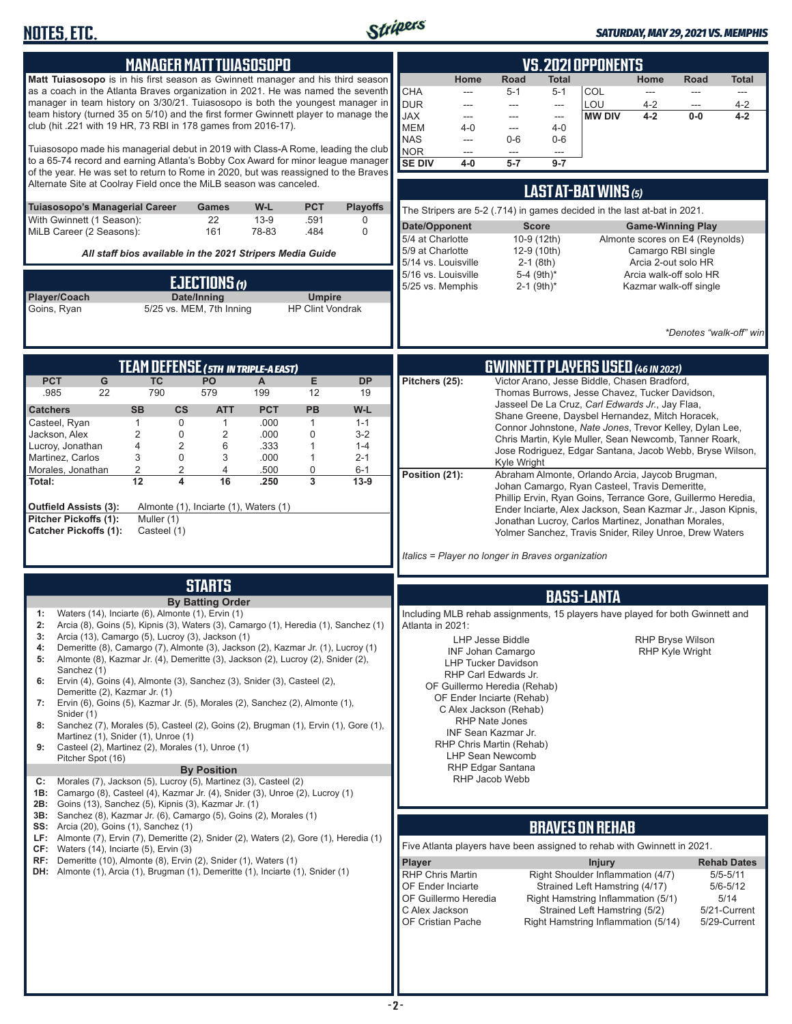

| <b>MANAGER MATT TUIASOSOPO</b>                                                                                                                                                                                                                                                                                                                                                                                                                                                                                                                                                                                                                                                                                                                                                                                                                                                                                                                                                                                                                    | <b>VS. 2021 OPPONENTS</b>                                                                                                                                                                                                                                                                                                                                                                                                                                                                                                                                                                                                                                                                                                                                                                                                                            |
|---------------------------------------------------------------------------------------------------------------------------------------------------------------------------------------------------------------------------------------------------------------------------------------------------------------------------------------------------------------------------------------------------------------------------------------------------------------------------------------------------------------------------------------------------------------------------------------------------------------------------------------------------------------------------------------------------------------------------------------------------------------------------------------------------------------------------------------------------------------------------------------------------------------------------------------------------------------------------------------------------------------------------------------------------|------------------------------------------------------------------------------------------------------------------------------------------------------------------------------------------------------------------------------------------------------------------------------------------------------------------------------------------------------------------------------------------------------------------------------------------------------------------------------------------------------------------------------------------------------------------------------------------------------------------------------------------------------------------------------------------------------------------------------------------------------------------------------------------------------------------------------------------------------|
| Matt Tuiasosopo is in his first season as Gwinnett manager and his third season<br>as a coach in the Atlanta Braves organization in 2021. He was named the seventh<br>manager in team history on 3/30/21. Tuiasosopo is both the youngest manager in<br>team history (turned 35 on 5/10) and the first former Gwinnett player to manage the<br>club (hit .221 with 19 HR, 73 RBI in 178 games from 2016-17).                                                                                                                                                                                                                                                                                                                                                                                                                                                                                                                                                                                                                                      | Home<br>Road<br><b>Total</b><br>Home<br><b>Road</b><br><b>Total</b><br><b>CHA</b><br>COL<br>$5 - 1$<br>$5 - 1$<br>---<br>---<br>---<br>---<br><b>DUR</b><br>LOU<br>$4 - 2$<br>$4 - 2$<br>---<br>---<br>$\overline{a}$<br>---<br><b>JAX</b><br><b>MW DIV</b><br>$4 - 2$<br>$0-0$<br>$4 - 2$<br>$\overline{a}$<br>$\cdots$<br>---<br><b>MEM</b><br>$4 - 0$<br>$4 - 0$<br>$\overline{a}$<br><b>NAS</b><br>$0-6$<br>$0-6$<br>---                                                                                                                                                                                                                                                                                                                                                                                                                         |
| Tuiasosopo made his managerial debut in 2019 with Class-A Rome, leading the club<br>to a 65-74 record and earning Atlanta's Bobby Cox Award for minor league manager<br>of the year. He was set to return to Rome in 2020, but was reassigned to the Braves<br>Alternate Site at Coolray Field once the MiLB season was canceled.                                                                                                                                                                                                                                                                                                                                                                                                                                                                                                                                                                                                                                                                                                                 | NOR<br>---<br>---<br>$\qquad \qquad -\qquad$<br><b>SE DIV</b><br>$5 - 7$<br>$9 - 7$<br>$4-0$                                                                                                                                                                                                                                                                                                                                                                                                                                                                                                                                                                                                                                                                                                                                                         |
| Tuiasosopo's Managerial Career<br>W-L<br><b>PCT</b><br><b>Playoffs</b><br><b>Games</b><br>22<br>$13-9$<br>.591<br>With Gwinnett (1 Season):<br>0<br>MiLB Career (2 Seasons):<br>161<br>78-83<br>.484<br>$\Omega$                                                                                                                                                                                                                                                                                                                                                                                                                                                                                                                                                                                                                                                                                                                                                                                                                                  | LAST AT-BAT WINS (5)<br>The Stripers are 5-2 (.714) in games decided in the last at-bat in 2021.<br>Date/Opponent<br><b>Score</b><br><b>Game-Winning Play</b><br>5/4 at Charlotte<br>Almonte scores on E4 (Reynolds)<br>10-9 (12th)                                                                                                                                                                                                                                                                                                                                                                                                                                                                                                                                                                                                                  |
| All staff bios available in the 2021 Stripers Media Guide                                                                                                                                                                                                                                                                                                                                                                                                                                                                                                                                                                                                                                                                                                                                                                                                                                                                                                                                                                                         | 5/9 at Charlotte<br>Camargo RBI single<br>12-9 (10th)<br>Arcia 2-out solo HR<br>5/14 vs. Louisville<br>$2-1$ (8th)                                                                                                                                                                                                                                                                                                                                                                                                                                                                                                                                                                                                                                                                                                                                   |
| EJECTIONS (1)<br>Player/Coach<br>Date/Inning<br><b>Umpire</b><br>5/25 vs. MEM, 7th Inning<br><b>HP Clint Vondrak</b><br>Goins, Ryan                                                                                                                                                                                                                                                                                                                                                                                                                                                                                                                                                                                                                                                                                                                                                                                                                                                                                                               | 5/16 vs. Louisville<br>5-4 $(9th)*$<br>Arcia walk-off solo HR<br>$2-1$ (9th)*<br>5/25 vs. Memphis<br>Kazmar walk-off single<br>*Denotes "walk-off" win                                                                                                                                                                                                                                                                                                                                                                                                                                                                                                                                                                                                                                                                                               |
| <b>TEAM DEFENSE (5TH IN TRIPLE-A EAST)</b>                                                                                                                                                                                                                                                                                                                                                                                                                                                                                                                                                                                                                                                                                                                                                                                                                                                                                                                                                                                                        | <b>GWINNETT PLAYERS USED (46 IN 2021)</b>                                                                                                                                                                                                                                                                                                                                                                                                                                                                                                                                                                                                                                                                                                                                                                                                            |
| <b>PCT</b><br>E<br>G<br><b>TC</b><br>PO<br><b>DP</b><br>A<br>790<br>579<br>.985<br>22<br>199<br>12<br>19<br><b>SB</b><br>$\mathsf{cs}$<br><b>PCT</b><br><b>PB</b><br>W-L<br><b>Catchers</b><br><b>ATT</b><br>$\mathbf{1}$<br>0<br>$\mathbf{1}$<br>.000<br>$\mathbf{1}$<br>Casteel, Ryan<br>$1 - 1$<br>$\overline{c}$<br>$\overline{2}$<br>$\overline{0}$<br>0<br>.000<br>$3-2$<br>Jackson, Alex<br>4<br>$\overline{2}$<br>Lucroy, Jonathan<br>.333<br>6<br>1<br>$1 - 4$<br>3<br>Martinez, Carlos<br>0<br>$\mathbf{1}$<br>3<br>.000<br>$2 - 1$<br>$\overline{c}$<br>$\overline{2}$<br>4<br>.500<br>0<br>Morales, Jonathan<br>$6 - 1$<br>$\overline{3}$<br>12<br>4<br>16<br>$13-9$<br>.250<br>Total:<br>Almonte (1), Inciarte (1), Waters (1)<br>Outfield Assists (3):<br>Pitcher Pickoffs (1):<br>Muller (1)<br><b>Catcher Pickoffs (1):</b><br>Casteel (1)                                                                                                                                                                                        | Victor Arano, Jesse Biddle, Chasen Bradford,<br>Pitchers (25):<br>Thomas Burrows, Jesse Chavez, Tucker Davidson,<br>Jasseel De La Cruz, Carl Edwards Jr., Jay Flaa,<br>Shane Greene, Daysbel Hernandez, Mitch Horacek,<br>Connor Johnstone, Nate Jones, Trevor Kelley, Dylan Lee,<br>Chris Martin, Kyle Muller, Sean Newcomb, Tanner Roark,<br>Jose Rodriguez, Edgar Santana, Jacob Webb, Bryse Wilson,<br>Kyle Wright<br>Position (21):<br>Abraham Almonte, Orlando Arcia, Jaycob Brugman,<br>Johan Camargo, Ryan Casteel, Travis Demeritte,<br>Phillip Ervin, Ryan Goins, Terrance Gore, Guillermo Heredia,<br>Ender Inciarte, Alex Jackson, Sean Kazmar Jr., Jason Kipnis,<br>Jonathan Lucroy, Carlos Martinez, Jonathan Morales,<br>Yolmer Sanchez, Travis Snider, Riley Unroe, Drew Waters<br>Italics = Player no longer in Braves organization |
|                                                                                                                                                                                                                                                                                                                                                                                                                                                                                                                                                                                                                                                                                                                                                                                                                                                                                                                                                                                                                                                   |                                                                                                                                                                                                                                                                                                                                                                                                                                                                                                                                                                                                                                                                                                                                                                                                                                                      |
| <b>STARTS</b><br><b>By Batting Order</b>                                                                                                                                                                                                                                                                                                                                                                                                                                                                                                                                                                                                                                                                                                                                                                                                                                                                                                                                                                                                          | <b>BASS-LANTA</b>                                                                                                                                                                                                                                                                                                                                                                                                                                                                                                                                                                                                                                                                                                                                                                                                                                    |
| Waters (14), Inciarte (6), Almonte (1), Ervin (1)<br>1:<br>Arcia (8), Goins (5), Kipnis (3), Waters (3), Camargo (1), Heredia (1), Sanchez (1)<br>2:<br>Arcia (13), Camargo (5), Lucroy (3), Jackson (1)<br>3:<br>Demeritte (8), Camargo (7), Almonte (3), Jackson (2), Kazmar Jr. (1), Lucroy (1)<br>4:<br>Almonte (8), Kazmar Jr. (4), Demeritte (3), Jackson (2), Lucroy (2), Snider (2),<br>5:<br>Sanchez (1)<br>Ervin (4), Goins (4), Almonte (3), Sanchez (3), Snider (3), Casteel (2),<br>6:<br>Demeritte (2), Kazmar Jr. (1)<br>Ervin (6), Goins (5), Kazmar Jr. (5), Morales (2), Sanchez (2), Almonte (1),<br>7:<br>Snider (1)<br>Sanchez (7), Morales (5), Casteel (2), Goins (2), Brugman (1), Ervin (1), Gore (1),<br>8:<br>Martinez (1), Snider (1), Unroe (1)<br>Casteel (2), Martinez (2), Morales (1), Unroe (1)<br>9:<br>Pitcher Spot (16)<br><b>By Position</b><br>Morales (7), Jackson (5), Lucroy (5), Martinez (3), Casteel (2)<br>C:<br>Camargo (8), Casteel (4), Kazmar Jr. (4), Snider (3), Unroe (2), Lucroy (1)<br>1B: | Including MLB rehab assignments, 15 players have played for both Gwinnett and<br>Atlanta in 2021:<br><b>RHP Bryse Wilson</b><br><b>LHP Jesse Biddle</b><br>RHP Kyle Wright<br><b>INF Johan Camargo</b><br><b>LHP Tucker Davidson</b><br>RHP Carl Edwards Jr.<br>OF Guillermo Heredia (Rehab)<br>OF Ender Inciarte (Rehab)<br>C Alex Jackson (Rehab)<br><b>RHP Nate Jones</b><br><b>INF Sean Kazmar Jr.</b><br>RHP Chris Martin (Rehab)<br><b>LHP Sean Newcomb</b><br>RHP Edgar Santana<br>RHP Jacob Webb                                                                                                                                                                                                                                                                                                                                             |
| <b>2B:</b> Goins (13), Sanchez (5), Kipnis (3), Kazmar Jr. (1)<br>3B: Sanchez (8), Kazmar Jr. (6), Camargo (5), Goins (2), Morales (1)                                                                                                                                                                                                                                                                                                                                                                                                                                                                                                                                                                                                                                                                                                                                                                                                                                                                                                            |                                                                                                                                                                                                                                                                                                                                                                                                                                                                                                                                                                                                                                                                                                                                                                                                                                                      |
| <b>SS:</b> Arcia (20), Goins (1), Sanchez (1)<br>LF: Almonte (7), Ervin (7), Demeritte (2), Snider (2), Waters (2), Gore (1), Heredia (1)                                                                                                                                                                                                                                                                                                                                                                                                                                                                                                                                                                                                                                                                                                                                                                                                                                                                                                         | <b>BRAVES ON REHAB</b>                                                                                                                                                                                                                                                                                                                                                                                                                                                                                                                                                                                                                                                                                                                                                                                                                               |
| $CF:$ Waters (14), Inciarte (5), Ervin (3)<br>RF: Demeritte (10), Almonte (8), Ervin (2), Snider (1), Waters (1)<br>DH: Almonte (1), Arcia (1), Brugman (1), Demeritte (1), Inciarte (1), Snider (1)                                                                                                                                                                                                                                                                                                                                                                                                                                                                                                                                                                                                                                                                                                                                                                                                                                              | Five Atlanta players have been assigned to rehab with Gwinnett in 2021.<br>Player<br><b>Injury</b><br><b>Rehab Dates</b><br><b>RHP Chris Martin</b><br>Right Shoulder Inflammation (4/7)<br>$5/5 - 5/11$<br>OF Ender Inciarte<br>Strained Left Hamstring (4/17)<br>$5/6 - 5/12$<br>OF Guillermo Heredia<br>Right Hamstring Inflammation (5/1)<br>5/14<br>C Alex Jackson<br>Strained Left Hamstring (5/2)<br>5/21-Current<br>5/29-Current<br>OF Cristian Pache<br>Right Hamstring Inflammation (5/14)                                                                                                                                                                                                                                                                                                                                                 |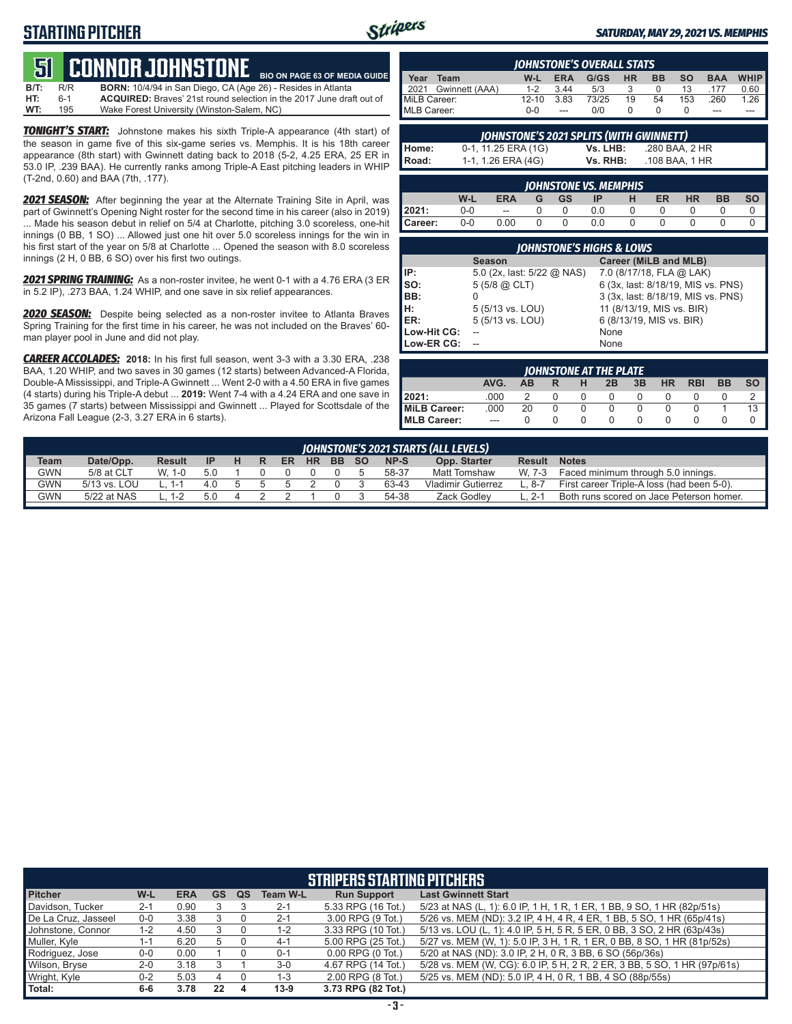# **STARTING PITCHER**



**BIO ON PAGE 63 OF MEDIA GUIDE**

#### *SATURDAY, MAY 29, 2021 VS. MEMPHIS*

# **51****CONNOR JOHNSTONE**

**B/T:** R/R **BORN:** 10/4/94 in San Diego, CA (Age 26) - Resides in Atlanta 6-1 **ACQUIRED:** Braves' 21st round selection in the 2017 June draft out of 195<br>195 Wake Forest University (Winston-Salem, NC) **WT:** 195 Wake Forest University (Winston-Salem, NC)

*TONIGHT'S START:* Johnstone makes his sixth Triple-A appearance (4th start) of the season in game five of this six-game series vs. Memphis. It is his 18th career appearance (8th start) with Gwinnett dating back to 2018 (5-2, 4.25 ERA, 25 ER in 53.0 IP, .239 BAA). He currently ranks among Triple-A East pitching leaders in WHIP (T-2nd, 0.60) and BAA (7th, .177).

*2021 SEASON:* After beginning the year at the Alternate Training Site in April, was part of Gwinnett's Opening Night roster for the second time in his career (also in 2019) ... Made his season debut in relief on 5/4 at Charlotte, pitching 3.0 scoreless, one-hit innings (0 BB, 1 SO) ... Allowed just one hit over 5.0 scoreless innings for the win in his first start of the year on 5/8 at Charlotte ... Opened the season with 8.0 scoreless innings (2 H, 0 BB, 6 SO) over his first two outings.

*2021 SPRING TRAINING:* As a non-roster invitee, he went 0-1 with a 4.76 ERA (3 ER in 5.2 IP), .273 BAA, 1.24 WHIP, and one save in six relief appearances.

*2020 SEASON:* Despite being selected as a non-roster invitee to Atlanta Braves Spring Training for the first time in his career, he was not included on the Braves' 60 man player pool in June and did not play.

*CAREER ACCOLADES:* **2018:** In his first full season, went 3-3 with a 3.30 ERA, .238 BAA, 1.20 WHIP, and two saves in 30 games (12 starts) between Advanced-A Florida, Double-A Mississippi, and Triple-A Gwinnett ... Went 2-0 with a 4.50 ERA in five games (4 starts) during his Triple-A debut ... **2019:** Went 7-4 with a 4.24 ERA and one save in 35 games (7 starts) between Mississippi and Gwinnett ... Played for Scottsdale of the Arizona Fall League (2-3, 3.27 ERA in 6 starts).

|              | <b>IOHNSTONE'S OVERALL STATS</b> |           |            |       |    |           |           |            |             |
|--------------|----------------------------------|-----------|------------|-------|----|-----------|-----------|------------|-------------|
| Year         | Team                             | W-L       | <b>ERA</b> | G/GS  | HR | <b>BB</b> | <b>SO</b> | <b>BAA</b> | <b>WHIP</b> |
| 12021        | Gwinnett (AAA)                   | $1 - 2$   | 344        | 5/3   |    |           | 13        | 177        | 0.60        |
| MiLB Career: |                                  | $12 - 10$ | 3.83       | 73/25 | 19 | 54        | 153       | .260       | $1.26$ +    |
| MLB Career:  |                                  | ი-ი       |            | n/n   |    |           |           | ---        |             |

|       | JOHNSTONE'S 2021 SPLITS (WITH GWINNETT) |          |                |  |
|-------|-----------------------------------------|----------|----------------|--|
| Home: | 0-1, 11.25 ERA (1G)                     | Vs. LHB: | .280 BAA. 2 HR |  |
| Road: | 1-1, 1.26 ERA (4G)                      | Vs. RHB: | .108 BAA. 1 HR |  |

| <b>JOHNSTONE VS. MEMPHIS</b> |         |                          |   |    |     |   |    |           |           |    |
|------------------------------|---------|--------------------------|---|----|-----|---|----|-----------|-----------|----|
|                              | W-L     | <b>ERA</b>               | G | GS |     | н | ER | <b>HR</b> | <b>BB</b> | SO |
| 2021:                        | $0 - 0$ | $\overline{\phantom{a}}$ |   |    | 0.O |   |    |           |           |    |
| <b>Career:</b>               | 0-0     | 0.00                     |   |    | 0.0 |   |    |           |           |    |

| <b>IOHNSTONE'S HIGHS &amp; LOWS</b> |                            |                                    |  |  |  |  |  |  |
|-------------------------------------|----------------------------|------------------------------------|--|--|--|--|--|--|
|                                     | <b>Season</b>              | Career (MiLB and MLB)              |  |  |  |  |  |  |
| IP:                                 | 5.0 (2x, last: 5/22 @ NAS) | 7.0 (8/17/18, FLA @ LAK)           |  |  |  |  |  |  |
| so:                                 | $5(5/8)$ $\omega$ CLT)     | 6 (3x, last: 8/18/19, MIS vs. PNS) |  |  |  |  |  |  |
| BB:                                 |                            | 3 (3x, last: 8/18/19, MIS vs. PNS) |  |  |  |  |  |  |
| H:<br>ER:                           | 5 (5/13 vs. LOU)           | 11 (8/13/19, MIS vs. BIR)          |  |  |  |  |  |  |
|                                     | 5 (5/13 vs. LOU)           | 6 (8/13/19, MIS vs. BIR)           |  |  |  |  |  |  |
| Low-Hit CG:                         |                            | None                               |  |  |  |  |  |  |
| Low-ER CG:                          |                            | None                               |  |  |  |  |  |  |

| JOHNSTONE AT THE PLATE |               |    |  |  |    |    |           |            |    |  |
|------------------------|---------------|----|--|--|----|----|-----------|------------|----|--|
|                        | AVG.          | ΔR |  |  | 2B | 3B | <b>HR</b> | <b>RBI</b> | BB |  |
| 2021:                  | 000           |    |  |  |    |    |           |            |    |  |
| <b>MiLB Career:</b>    | .000          | 20 |  |  |    |    |           |            |    |  |
| <b>MLB Career:</b>     | $\frac{1}{2}$ |    |  |  |    |    |           |            |    |  |

|             | JOHNSTONE'S 2021 STARTS (ALL LEVELS) |               |           |    |  |    |           |           |           |       |                           |               |                                            |
|-------------|--------------------------------------|---------------|-----------|----|--|----|-----------|-----------|-----------|-------|---------------------------|---------------|--------------------------------------------|
| <b>Team</b> | Date/Opp.                            | <b>Result</b> | <b>IP</b> | н. |  | ER | <b>HR</b> | <b>BB</b> | <b>SO</b> | NP-S  | Opp. Starter              | <b>Result</b> | <b>Notes</b>                               |
| GWN         | 5/8 at CLT                           | $W$ 1-0       | 5.0       |    |  |    |           |           |           | 58-37 | Matt Tomshaw              | W. 7-3        | Faced minimum through 5.0 innings.         |
| <b>GWN</b>  | 5/13 vs. LOU                         | - 1-1         | 4 O       |    |  |    |           |           |           | 63-43 | <b>Vladimir Gutierrez</b> | $L.8 - 7$     | First career Triple-A loss (had been 5-0). |
| GWN         | 5/22 at NAS                          | 1-2           | 5.0       |    |  |    |           |           |           | 54-38 | Zack Godlev               | $2 - 1$       | Both runs scored on Jace Peterson homer.   |
|             |                                      |               |           |    |  |    |           |           |           |       |                           |               |                                            |

| <b>STRIPERS STARTING PITCHERS</b> |         |            |    |    |                 |                       |                                                                          |  |  |
|-----------------------------------|---------|------------|----|----|-----------------|-----------------------|--------------------------------------------------------------------------|--|--|
| <b>Pitcher</b>                    | W-L     | <b>ERA</b> | GS | QS | <b>Team W-L</b> | <b>Run Support</b>    | <b>Last Gwinnett Start</b>                                               |  |  |
| Davidson, Tucker                  | $2 - 1$ | 0.90       |    |    | $2 - 1$         | 5.33 RPG (16 Tot.)    | 5/23 at NAS (L, 1): 6.0 IP, 1 H, 1 R, 1 ER, 1 BB, 9 SO, 1 HR (82p/51s)   |  |  |
| De La Cruz, Jasseel               | $0-0$   | 3.38       |    |    | $2 - 1$         | 3.00 RPG (9 Tot.)     | 5/26 vs. MEM (ND): 3.2 IP, 4 H, 4 R, 4 ER, 1 BB, 5 SO, 1 HR (65p/41s)    |  |  |
| Johnstone, Connor                 | $1 - 2$ | 4.50       |    |    | $1 - 2$         | 3.33 RPG (10 Tot.)    | 5/13 vs. LOU (L, 1): 4.0 IP, 5 H, 5 R, 5 ER, 0 BB, 3 SO, 2 HR (63p/43s)  |  |  |
| Muller, Kyle                      | 1-1     | 6.20       |    |    | 4-1             | 5.00 RPG (25 Tot.)    | 5/27 vs. MEM (W, 1): 5.0 IP, 3 H, 1 R, 1 ER, 0 BB, 8 SO, 1 HR (81p/52s)  |  |  |
| Rodriguez, Jose                   | $0-0$   | 0.00       |    |    | $0 - 1$         | $0.00$ RPG $(0$ Tot.) | 5/20 at NAS (ND): 3.0 IP, 2 H, 0 R, 3 BB, 6 SO (56p/36s)                 |  |  |
| Wilson, Bryse                     | $2 - 0$ | 3.18       |    |    | $3-0$           | 4.67 RPG (14 Tot.)    | 5/28 vs. MEM (W, CG): 6.0 IP, 5 H, 2 R, 2 ER, 3 BB, 5 SO, 1 HR (97p/61s) |  |  |
| Wright, Kyle                      | $0 - 2$ | 5.03       |    |    | $1 - 3$         | 2.00 RPG (8 Tot.)     | 5/25 vs. MEM (ND): 5.0 IP, 4 H, 0 R, 1 BB, 4 SO (88p/55s)                |  |  |
| Total:                            | 6-6     | 3.78       | 22 |    | $13-9$          | 3.73 RPG (82 Tot.)    |                                                                          |  |  |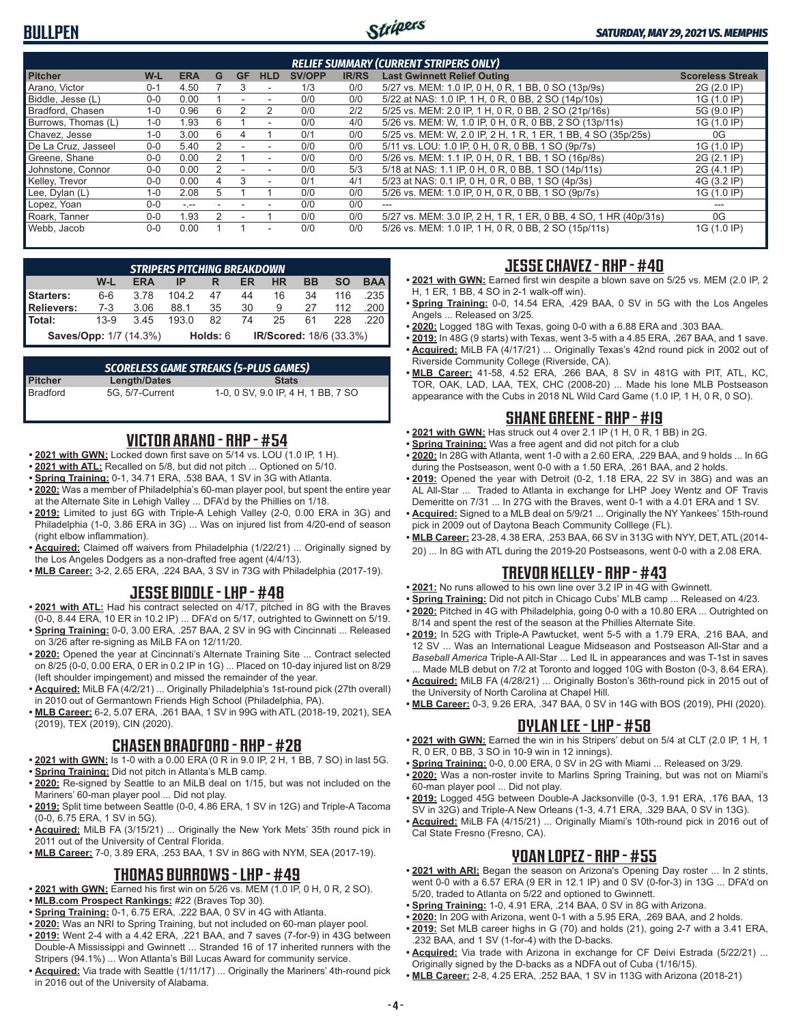# **BULLPEN**



#### *SATURDAY, MAY 29, 2021 VS. MEMPHIS*

| <b>RELIEF SUMMARY (CURRENT STRIPERS ONLY)</b> |         |            |   |    |            |        |              |                                                                  |                         |
|-----------------------------------------------|---------|------------|---|----|------------|--------|--------------|------------------------------------------------------------------|-------------------------|
| <b>Pitcher</b>                                | W-L     | <b>ERA</b> | G | GF | <b>HLD</b> | SV/OPP | <b>IR/RS</b> | <b>Last Gwinnett Relief Outing</b>                               | <b>Scoreless Streak</b> |
| Arano. Victor                                 | 0-1     | 4.50       |   |    | $\sim$     | 1/3    | 0/0          | 5/27 vs. MEM: 1.0 IP, 0 H, 0 R, 1 BB, 0 SO (13p/9s)              | 2G (2.0 IP)             |
| Biddle, Jesse (L)                             | $0 - 0$ | 0.00       |   |    |            | 0/0    | 0/0          | 5/22 at NAS: 1.0 IP, 1 H, 0 R, 0 BB, 2 SO (14p/10s)              | 1G (1.0 IP)             |
| Bradford, Chasen                              | $1 - 0$ | 0.96       | 6 |    | 2          | 0/0    | 2/2          | 5/25 vs. MEM: 2.0 IP, 1 H, 0 R, 0 BB, 2 SO (21p/16s)             | 5G (9.0 IP)             |
| Burrows, Thomas (L)                           | $1 - 0$ | 1.93       | 6 |    | $\sim$     | 0/0    | 4/0          | 5/26 vs. MEM: W, 1.0 IP, 0 H, 0 R, 0 BB, 2 SO (13p/11s)          | 1G (1.0 IP)             |
| Chavez. Jesse                                 | $1 - 0$ | 3.00       | 6 | 4  |            | 0/1    | 0/0          | 5/25 vs. MEM: W, 2.0 IP, 2 H, 1 R, 1 ER, 1 BB, 4 SO (35p/25s)    | 0G                      |
| De La Cruz. Jasseel                           | $0 - 0$ | 5.40       |   |    |            | 0/0    | 0/0          | 5/11 vs. LOU: 1.0 IP, 0 H, 0 R, 0 BB, 1 SO (9p/7s)               | 1G (1.0 IP)             |
| Greene, Shane                                 | $0 - 0$ | 0.00       |   |    | $\sim$     | 0/0    | 0/0          | 5/26 vs. MEM: 1.1 IP, 0 H, 0 R, 1 BB, 1 SO (16p/8s)              | 2G (2.1 IP)             |
| Johnstone, Connor                             | $0 - 0$ | 0.00       |   |    |            | 0/0    | 5/3          | 5/18 at NAS: 1.1 IP, 0 H, 0 R, 0 BB, 1 SO (14p/11s)              | 2G (4.1 IP)             |
| Kelley, Trevor                                | $0 - 0$ | 0.00       | 4 |    | ۰          | 0/1    | 4/1          | 5/23 at NAS: 0.1 IP, 0 H, 0 R, 0 BB, 1 SO (4p/3s)                | 4G (3.2 IP)             |
| Lee, Dylan (L)                                | $1 - 0$ | 2.08       | 5 |    |            | 0/0    | 0/0          | 5/26 vs. MEM: 1.0 IP, 0 H, 0 R, 0 BB, 1 SO (9p/7s)               | 1G (1.0 IP)             |
| Lopez, Yoan                                   | $0 - 0$ | $-1$       |   |    |            | 0/0    | 0/0          | $- - -$                                                          |                         |
| Roark, Tanner                                 | $0 - 0$ | 1.93       |   |    |            | 0/0    | 0/0          | 5/27 vs. MEM: 3.0 IP, 2 H, 1 R, 1 ER, 0 BB, 4 SO, 1 HR (40p/31s) | 0G                      |
| Webb, Jacob                                   | $0 - 0$ | 0.00       |   |    | ۰          | 0/0    | 0/0          | 5/26 vs. MEM: 1.0 IP, 1 H, 0 R, 0 BB, 2 SO (15p/11s)             | 1G (1.0 IP)             |

| <b>STRIPERS PITCHING BREAKDOWN</b>                                   |        |            |       |    |    |    |    |           |            |
|----------------------------------------------------------------------|--------|------------|-------|----|----|----|----|-----------|------------|
|                                                                      | W-L    | <b>ERA</b> |       |    | ER | HR | BB | <b>SO</b> | <b>BAA</b> |
| Starters:                                                            | $6-6$  | 3.78       | 104.2 | 47 | 44 | 16 | 34 | 116       | 235        |
| <b>Relievers:</b>                                                    | $7-3$  | 3.06       | 88.1  | 35 | 30 | 9  | 27 | 112       | 200        |
| Total:                                                               | $13-9$ | 3.45       | 193.0 | 82 | 74 | 25 | 61 | 228       |            |
| IR/Scored: 18/6 (33.3%)<br><b>Saves/Opp: 1/7 (14.3%)</b><br>Holds: 6 |        |            |       |    |    |    |    |           |            |

| <b>SCORELESS GAME STREAKS (5-PLUS GAMES)</b> |                 |                                    |  |  |  |  |  |  |  |
|----------------------------------------------|-----------------|------------------------------------|--|--|--|--|--|--|--|
| <b>Pitcher</b>                               | Length/Dates    | <b>Stats</b>                       |  |  |  |  |  |  |  |
| Bradford                                     | 5G. 5/7-Current | 1-0, 0 SV, 9.0 IP, 4 H, 1 BB, 7 SO |  |  |  |  |  |  |  |

### **VICTOR ARANO - RHP - #54**

- **• 2021 with GWN:** Locked down first save on 5/14 vs. LOU (1.0 IP, 1 H).
- **• 2021 with ATL:** Recalled on 5/8, but did not pitch ... Optioned on 5/10.
- **• Spring Training:** 0-1, 34.71 ERA, .538 BAA, 1 SV in 3G with Atlanta.
- **• 2020:** Was a member of Philadelphia's 60-man player pool, but spent the entire year at the Alternate Site in Lehigh Valley ... DFA'd by the Phillies on 1/18.
- **• 2019:** Limited to just 6G with Triple-A Lehigh Valley (2-0, 0.00 ERA in 3G) and Philadelphia (1-0, 3.86 ERA in 3G) ... Was on injured list from 4/20-end of season (right elbow inflammation).
- **• Acquired:** Claimed off waivers from Philadelphia (1/22/21) ... Originally signed by the Los Angeles Dodgers as a non-drafted free agent (4/4/13).
- **• MLB Career:** 3-2, 2.65 ERA, .224 BAA, 3 SV in 73G with Philadelphia (2017-19).

#### **JESSE BIDDLE - LHP - #48**

- **• 2021 with ATL:** Had his contract selected on 4/17, pitched in 8G with the Braves (0-0, 8.44 ERA, 10 ER in 10.2 IP) ... DFA'd on 5/17, outrighted to Gwinnett on 5/19.
- **• Spring Training:** 0-0, 3.00 ERA, .257 BAA, 2 SV in 9G with Cincinnati ... Released on 3/26 after re-signing as MiLB FA on 12/11/20.
- **• 2020:** Opened the year at Cincinnati's Alternate Training Site ... Contract selected on 8/25 (0-0, 0.00 ERA, 0 ER in 0.2 IP in 1G) ... Placed on 10-day injured list on 8/29 (left shoulder impingement) and missed the remainder of the year.
- **• Acquired:** MiLB FA (4/2/21) ... Originally Philadelphia's 1st-round pick (27th overall) in 2010 out of Germantown Friends High School (Philadelphia, PA).
- **• MLB Career:** 6-2, 5.07 ERA, .261 BAA, 1 SV in 99G with ATL (2018-19, 2021), SEA (2019), TEX (2019), CIN (2020).

#### **CHASEN BRADFORD - RHP - #28**

- **• 2021 with GWN:** Is 1-0 with a 0.00 ERA (0 R in 9.0 IP, 2 H, 1 BB, 7 SO) in last 5G. **• Spring Training:** Did not pitch in Atlanta's MLB camp.
- **• 2020:** Re-signed by Seattle to an MiLB deal on 1/15, but was not included on the Mariners' 60-man player pool ... Did not play.
- **• 2019:** Split time between Seattle (0-0, 4.86 ERA, 1 SV in 12G) and Triple-A Tacoma (0-0, 6.75 ERA, 1 SV in 5G).
- **• Acquired:** MiLB FA (3/15/21) ... Originally the New York Mets' 35th round pick in 2011 out of the University of Central Florida.
- **• MLB Career:** 7-0, 3.89 ERA, .253 BAA, 1 SV in 86G with NYM, SEA (2017-19).

#### **THOMAS BURROWS - LHP - #49**

- **• 2021 with GWN:** Earned his first win on 5/26 vs. MEM (1.0 IP, 0 H, 0 R, 2 SO).
- **• MLB.com Prospect Rankings:** #22 (Braves Top 30).
- **• Spring Training:** 0-1, 6.75 ERA, .222 BAA, 0 SV in 4G with Atlanta.
- **• 2020:** Was an NRI to Spring Training, but not included on 60-man player pool.
- **• 2019:** Went 2-4 with a 4.42 ERA, .221 BAA, and 7 saves (7-for-9) in 43G between Double-A Mississippi and Gwinnett ... Stranded 16 of 17 inherited runners with the Stripers (94.1%) ... Won Atlanta's Bill Lucas Award for community service.
- **• Acquired:** Via trade with Seattle (1/11/17) ... Originally the Mariners' 4th-round pick in 2016 out of the University of Alabama.

#### **JESSE CHAVEZ - RHP - #40**

- **• 2021 with GWN:** Earned first win despite a blown save on 5/25 vs. MEM (2.0 IP, 2 H, 1 ER, 1 BB, 4 SO in 2-1 walk-off win).
- **• Spring Training:** 0-0, 14.54 ERA, .429 BAA, 0 SV in 5G with the Los Angeles Angels ... Released on 3/25.
- **• 2020:** Logged 18G with Texas, going 0-0 with a 6.88 ERA and .303 BAA.
- **• 2019:** In 48G (9 starts) with Texas, went 3-5 with a 4.85 ERA, .267 BAA, and 1 save. **• Acquired:** MiLB FA (4/17/21) ... Originally Texas's 42nd round pick in 2002 out of Riverside Community College (Riverside, CA).
- **• MLB Career:** 41-58, 4.52 ERA, .266 BAA, 8 SV in 481G with PIT, ATL, KC, TOR, OAK, LAD, LAA, TEX, CHC (2008-20) ... Made his lone MLB Postseason appearance with the Cubs in 2018 NL Wild Card Game (1.0 IP, 1 H, 0 R, 0 SO).

## **SHANE GREENE - RHP - #19**

- **• 2021 with GWN:** Has struck out 4 over 2.1 IP (1 H, 0 R, 1 BB) in 2G.
- **• Spring Training:** Was a free agent and did not pitch for a club
- **• 2020:** In 28G with Atlanta, went 1-0 with a 2.60 ERA, .229 BAA, and 9 holds ... In 6G during the Postseason, went 0-0 with a 1.50 ERA, .261 BAA, and 2 holds.
- **• 2019:** Opened the year with Detroit (0-2, 1.18 ERA, 22 SV in 38G) and was an AL All-Star ... Traded to Atlanta in exchange for LHP Joey Wentz and OF Travis Demeritte on 7/31 ... In 27G with the Braves, went 0-1 with a 4.01 ERA and 1 SV.
- **• Acquired:** Signed to a MLB deal on 5/9/21 ... Originally the NY Yankees' 15th-round pick in 2009 out of Daytona Beach Community Colllege (FL).
- **• MLB Career:** 23-28, 4.38 ERA, .253 BAA, 66 SV in 313G with NYY, DET, ATL (2014- 20) ... In 8G with ATL during the 2019-20 Postseasons, went 0-0 with a 2.08 ERA.

### **TREVOR KELLEY - RHP - #43**

- **• 2021:** No runs allowed to his own line over 3.2 IP in 4G with Gwinnett.
- **• Spring Training:** Did not pitch in Chicago Cubs' MLB camp ... Released on 4/23.
- **• 2020:** Pitched in 4G with Philadelphia, going 0-0 with a 10.80 ERA ... Outrighted on 8/14 and spent the rest of the season at the Phillies Alternate Site.
- **• 2019:** In 52G with Triple-A Pawtucket, went 5-5 with a 1.79 ERA, .216 BAA, and 12 SV ... Was an International League Midseason and Postseason All-Star and a *Baseball America* Triple-A All-Star ... Led IL in appearances and was T-1st in saves ... Made MLB debut on 7/2 at Toronto and logged 10G with Boston (0-3, 8.64 ERA).
- **• Acquired:** MiLB FA (4/28/21) ... Originally Boston's 36th-round pick in 2015 out of the University of North Carolina at Chapel Hill.
- **• MLB Career:** 0-3, 9.26 ERA, .347 BAA, 0 SV in 14G with BOS (2019), PHI (2020).

### **DYLAN LEE - LHP - #58**

- **• 2021 with GWN:** Earned the win in his Stripers' debut on 5/4 at CLT (2.0 IP, 1 H, 1 R, 0 ER, 0 BB, 3 SO in 10-9 win in 12 innings).
- **• Spring Training:** 0-0, 0.00 ERA, 0 SV in 2G with Miami ... Released on 3/29.
- **• 2020:** Was a non-roster invite to Marlins Spring Training, but was not on Miami's 60-man player pool ... Did not play.
- **• 2019:** Logged 45G between Double-A Jacksonville (0-3, 1.91 ERA, .176 BAA, 13 SV in 32G) and Triple-A New Orleans (1-3, 4.71 ERA, .329 BAA, 0 SV in 13G).
- **• Acquired:** MiLB FA (4/15/21) ... Originally Miami's 10th-round pick in 2016 out of Cal State Fresno (Fresno, CA).

#### **YOAN LOPEZ - RHP - #55**

- **• 2021 with ARI:** Began the season on Arizona's Opening Day roster ... In 2 stints, went 0-0 with a 6.57 ERA (9 ER in 12.1 IP) and 0 SV (0-for-3) in 13G ... DFA'd on 5/20, traded to Atlanta on 5/22 and optioned to Gwinnett.
- **• Spring Training:** 1-0, 4.91 ERA, .214 BAA, 0 SV in 8G with Arizona.
- **• 2020:** In 20G with Arizona, went 0-1 with a 5.95 ERA, .269 BAA, and 2 holds.
- **• 2019:** Set MLB career highs in G (70) and holds (21), going 2-7 with a 3.41 ERA, .232 BAA, and 1 SV (1-for-4) with the D-backs.
- **• Acquired:** Via trade with Arizona in exchange for CF Deivi Estrada (5/22/21) ... Originally signed by the D-backs as a NDFA out of Cuba (1/16/15).
- **• MLB Career:** 2-8, 4.25 ERA, .252 BAA, 1 SV in 113G with Arizona (2018-21)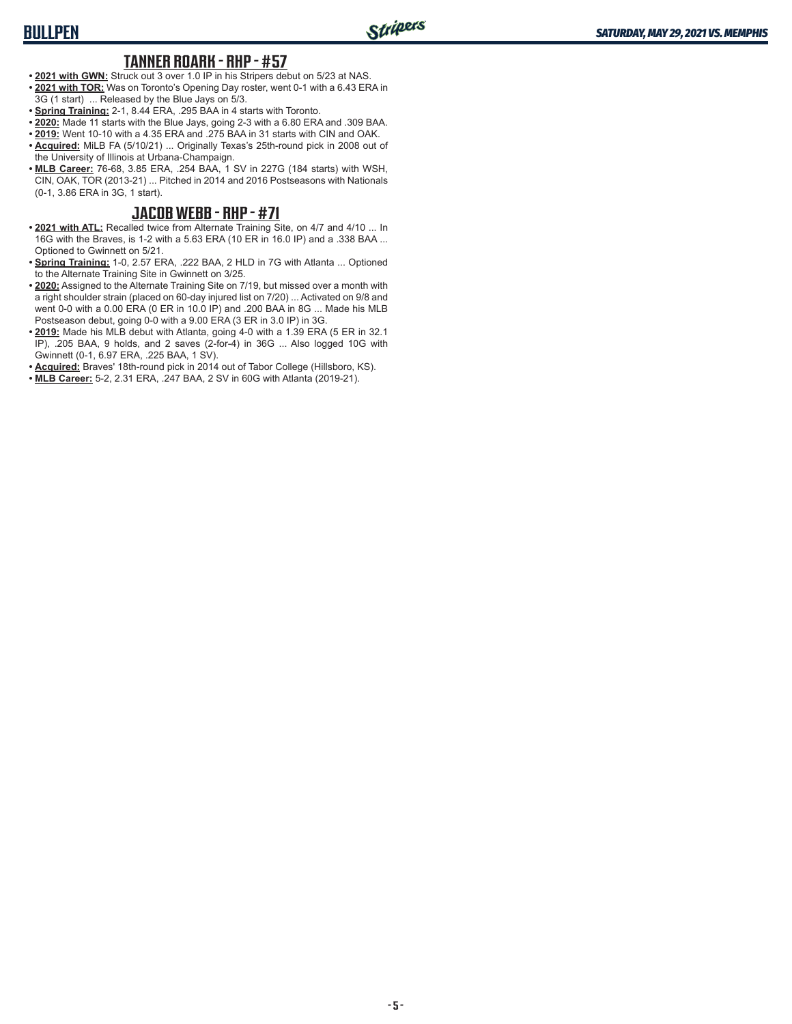#### **TANNER ROARK - RHP - #57**

- **• 2021 with GWN:** Struck out 3 over 1.0 IP in his Stripers debut on 5/23 at NAS. **• 2021 with TOR:** Was on Toronto's Opening Day roster, went 0-1 with a 6.43 ERA in 3G (1 start) ... Released by the Blue Jays on 5/3.
- 
- **• Spring Training:** 2-1, 8.44 ERA, .295 BAA in 4 starts with Toronto. **• 2020:** Made 11 starts with the Blue Jays, going 2-3 with a 6.80 ERA and .309 BAA.
- **• 2019:** Went 10-10 with a 4.35 ERA and .275 BAA in 31 starts with CIN and OAK.
- **• Acquired:** MiLB FA (5/10/21) ... Originally Texas's 25th-round pick in 2008 out of the University of Illinois at Urbana-Champaign.
- **• MLB Career:** 76-68, 3.85 ERA, .254 BAA, 1 SV in 227G (184 starts) with WSH, CIN, OAK, TOR (2013-21) ... Pitched in 2014 and 2016 Postseasons with Nationals (0-1, 3.86 ERA in 3G, 1 start).

#### **JACOB WEBB - RHP - #71**

- **• 2021 with ATL:** Recalled twice from Alternate Training Site, on 4/7 and 4/10 ... In 16G with the Braves, is 1-2 with a 5.63 ERA (10 ER in 16.0 IP) and a .338 BAA ... Optioned to Gwinnett on 5/21.
- **• Spring Training:** 1-0, 2.57 ERA, .222 BAA, 2 HLD in 7G with Atlanta ... Optioned to the Alternate Training Site in Gwinnett on 3/25.
- **• 2020:** Assigned to the Alternate Training Site on 7/19, but missed over a month with a right shoulder strain (placed on 60-day injured list on 7/20) ... Activated on 9/8 and went 0-0 with a 0.00 ERA (0 ER in 10.0 IP) and .200 BAA in 8G ... Made his MLB Postseason debut, going 0-0 with a 9.00 ERA (3 ER in 3.0 IP) in 3G.
- **• 2019:** Made his MLB debut with Atlanta, going 4-0 with a 1.39 ERA (5 ER in 32.1 IP), .205 BAA, 9 holds, and 2 saves (2-for-4) in 36G ... Also logged 10G with Gwinnett (0-1, 6.97 ERA, .225 BAA, 1 SV).
- **• Acquired:** Braves' 18th-round pick in 2014 out of Tabor College (Hillsboro, KS).
- **• MLB Career:** 5-2, 2.31 ERA, .247 BAA, 2 SV in 60G with Atlanta (2019-21).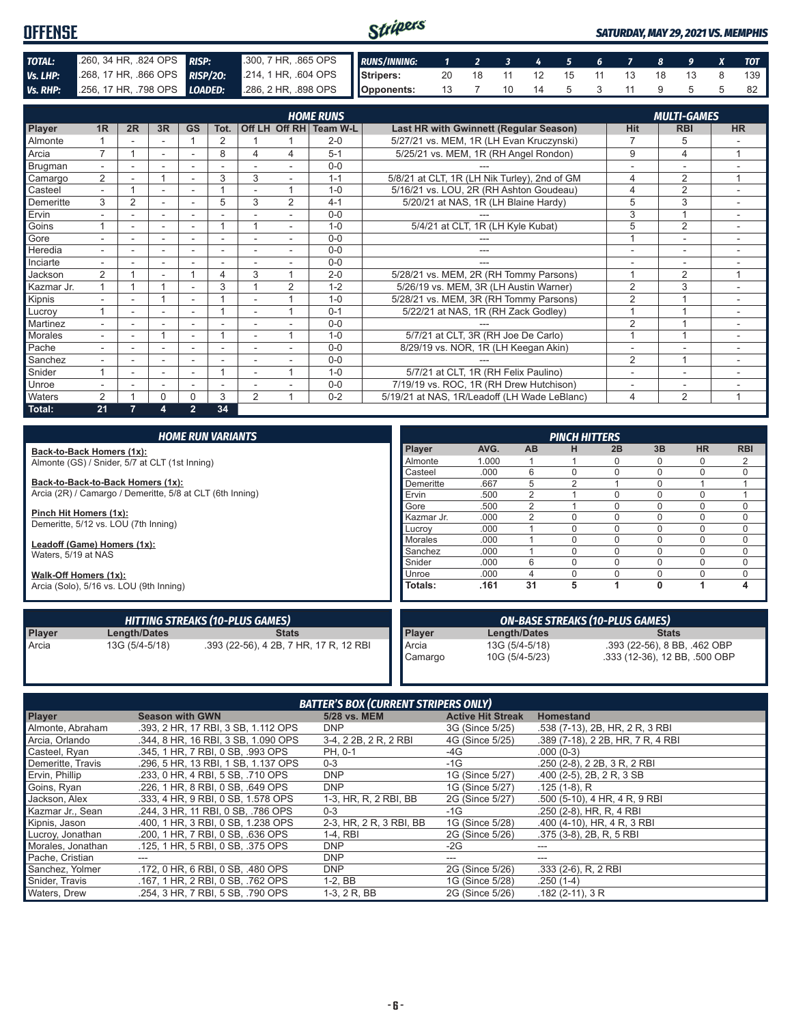#### Stripers **OFFENSE** *SATURDAY, MAY 29, 2021 VS. MEMPHIS TOTAL:* .260, 34 HR, .824 OPS *RISP:* .300, 7 HR, .865 OPS *RUNS/INNING: 1 2 3 4 5 6 7 8 9 X TOT Vs. LHP:* .268, 17 HR, .866 OPS **RISP/20:** .214, 1 HR, .604 OPS **Stripers:** 20 18 11 12 15 11 13 18 13 8 139 *Vs. RHP:* .256, 17 HR, .798 OPS *LOADED:* .286, 2 HR, .898 OPS **Opponents:** 13 7 10 14 5 3 11 9 5 5 82

|                |                          |                |    |                          |      |                          |                | <b>HOME RUNS</b>       |                                              |                          | <b>MULTI-GAMES</b>       |                          |
|----------------|--------------------------|----------------|----|--------------------------|------|--------------------------|----------------|------------------------|----------------------------------------------|--------------------------|--------------------------|--------------------------|
| <b>Player</b>  | 1 <sub>R</sub>           | 2R             | 3R | <b>GS</b>                | Tot. |                          |                | Off LH Off RH Team W-L | Last HR with Gwinnett (Regular Season)       | <b>Hit</b>               | <b>RBI</b>               | <b>HR</b>                |
| <b>Almonte</b> |                          |                |    |                          | 2    |                          |                | $2 - 0$                | 5/27/21 vs. MEM, 1R (LH Evan Kruczynski)     |                          | 5                        |                          |
| Arcia          | ⇁                        |                | ٠  | ٠                        | 8    | 4                        | 4              | $5 - 1$                | 5/25/21 vs. MEM, 1R (RH Angel Rondon)        | 9                        | 4                        |                          |
| Brugman        | $\sim$                   |                |    | $\overline{\phantom{a}}$ |      |                          |                | $0 - 0$                |                                              |                          | $\overline{\phantom{a}}$ |                          |
| Camargo        | $\overline{2}$           |                |    | $\overline{\phantom{a}}$ | 3    | 3                        |                | $1 - 1$                | 5/8/21 at CLT, 1R (LH Nik Turley), 2nd of GM | 4                        | 2                        | 4                        |
| Casteel        |                          |                | ٠  |                          |      |                          |                | $1 - 0$                | 5/16/21 vs. LOU, 2R (RH Ashton Goudeau)      | 4                        | $\overline{2}$           |                          |
| Demeritte      | 3                        | $\overline{2}$ |    |                          | 5    | 3                        | $\overline{2}$ | $4 - 1$                | 5/20/21 at NAS, 1R (LH Blaine Hardy)         | 5                        | 3                        |                          |
| Ervin          |                          |                | ۰  | ٠                        |      |                          |                | $0 - 0$                |                                              | 3                        |                          |                          |
| Goins          |                          |                |    |                          |      |                          |                | $1 - 0$                | 5/4/21 at CLT, 1R (LH Kyle Kubat)            | 5                        | 2                        |                          |
| Gore           |                          |                |    |                          |      |                          |                | $0 - 0$                |                                              |                          |                          | ۰                        |
| Heredia        | $\overline{\phantom{0}}$ | ۰              | ۰  | $\sim$                   | ۰    |                          |                | $0 - 0$                | ---                                          | $\overline{\phantom{a}}$ | ۰                        | ٠                        |
| Inciarte       |                          |                |    |                          |      |                          |                | $0 - 0$                |                                              |                          |                          |                          |
| Jackson        | $\overline{2}$           |                |    |                          | 4    | 3                        |                | $2 - 0$                | 5/28/21 vs. MEM, 2R (RH Tommy Parsons)       |                          | 2                        | $\overline{ }$           |
| Kazmar Jr.     |                          |                |    |                          | 3    |                          | 2              | $1 - 2$                | 5/26/19 vs. MEM, 3R (LH Austin Warner)       | $\overline{2}$           | 3                        |                          |
| Kipnis         |                          |                |    | ٠                        |      |                          |                | $1 - 0$                | 5/28/21 vs. MEM, 3R (RH Tommy Parsons)       | $\overline{2}$           |                          |                          |
| Lucroy         |                          |                |    | ۰                        |      |                          |                | $0 - 1$                | 5/22/21 at NAS, 1R (RH Zack Godley)          |                          |                          |                          |
| Martinez       | $\overline{a}$           |                |    | ٠                        |      |                          |                | $0 - 0$                |                                              | $\overline{2}$           |                          | $\overline{\phantom{a}}$ |
| <b>Morales</b> | $\overline{\phantom{0}}$ | ٠              |    | $\overline{\phantom{a}}$ |      | ٠                        |                | $1 - 0$                | 5/7/21 at CLT, 3R (RH Joe De Carlo)          |                          |                          | $\overline{\phantom{a}}$ |
| Pache          |                          |                | ۰  | ۰                        | ۰    | $\overline{\phantom{a}}$ |                | $0 - 0$                | 8/29/19 vs. NOR, 1R (LH Keegan Akin)         |                          |                          | -                        |
| Sanchez        |                          |                |    |                          |      |                          |                | $0 - 0$                |                                              | 2                        |                          |                          |
| Snider         |                          |                |    |                          |      |                          |                | $1 - 0$                | 5/7/21 at CLT, 1R (RH Felix Paulino)         |                          | ٠                        | -                        |
| Unroe          |                          |                | ٠  | $\overline{\phantom{a}}$ |      |                          |                | $0 - 0$                | 7/19/19 vs. ROC, 1R (RH Drew Hutchison)      |                          |                          |                          |
| <b>Waters</b>  | 2                        |                | 0  | 0                        | 3    | 2                        |                | $0 - 2$                | 5/19/21 at NAS, 1R/Leadoff (LH Wade LeBlanc) | 4                        | 2                        | -1                       |
| Total:         | 21                       |                | 4  | $\overline{2}$           | 34   |                          |                |                        |                                              |                          |                          |                          |

|                        |                                                           | <b>HOME RUN VARIANTS</b>               |                                        |                |                | <b>PINCH HITTERS</b> |                               |              |                              |             |
|------------------------|-----------------------------------------------------------|----------------------------------------|----------------------------------------|----------------|----------------|----------------------|-------------------------------|--------------|------------------------------|-------------|
|                        | Back-to-Back Homers (1x):                                 |                                        | Player                                 | AVG.           | <b>AB</b>      | н                    | 2B                            | 3B           | <b>HR</b>                    | <b>RBI</b>  |
|                        | Almonte (GS) / Snider, 5/7 at CLT (1st Inning)            |                                        | Almonte                                | 1.000          |                |                      | 0                             | 0            | 0                            |             |
|                        |                                                           |                                        | Casteel                                | .000           | 6              |                      | 0                             | 0            | 0                            | $\mathbf 0$ |
|                        | Back-to-Back-to-Back Homers (1x):                         |                                        | Demeritte                              | .667           |                |                      |                               | 0            |                              |             |
|                        | Arcia (2R) / Camargo / Demeritte, 5/8 at CLT (6th Inning) | Ervin                                  | .500                                   |                |                | N                    | 0                             | $\Omega$     |                              |             |
|                        |                                                           |                                        | Gore                                   | .500           |                |                      | $\Omega$                      | 0            | $\Omega$                     | 0           |
| Pinch Hit Homers (1x): |                                                           |                                        | Kazmar Jr.                             | .000           |                |                      | 0                             | 0            | 0                            | 0           |
|                        | Demeritte, 5/12 vs. LOU (7th Inning)                      | Lucrov                                 | .000                                   |                |                | 0                    | 0                             | 0            | 0                            |             |
|                        | Leadoff (Game) Homers (1x):                               |                                        | <b>Morales</b>                         | .000           |                |                      | $\Omega$                      | 0            | 0                            | 0           |
| Waters, 5/19 at NAS    |                                                           |                                        | Sanchez                                | .000           |                |                      | 0                             | 0            | $\Omega$                     | $\mathbf 0$ |
|                        |                                                           |                                        | Snider                                 | .000           | 6              |                      | 0                             | 0            | 0                            | $\mathbf 0$ |
| Walk-Off Homers (1x):  |                                                           |                                        | Unroe                                  | .000           |                |                      |                               | 0            | 0                            | 0           |
|                        | Arcia (Solo), 5/16 vs. LOU (9th Inning)                   |                                        | Totals:                                | .161           | 31             | 5                    |                               | $\mathbf{0}$ |                              | 4           |
|                        |                                                           | <b>HITTING STREAKS (10-PLUS GAMES)</b> | <b>ON-BASE STREAKS (10-PLUS GAMES)</b> |                |                |                      |                               |              |                              |             |
| <b>Player</b>          | <b>Length/Dates</b>                                       | <b>Stats</b>                           | Player                                 |                | Length/Dates   |                      |                               | <b>Stats</b> |                              |             |
| Arcia                  | 13G (5/4-5/18)                                            | .393 (22-56), 4 2B, 7 HR, 17 R, 12 RBI | Arcia                                  |                | 13G (5/4-5/18) |                      |                               |              | .393 (22-56), 8 BB, .462 OBP |             |
|                        |                                                           |                                        | Camargo                                | 10G (5/4-5/23) |                |                      | .333 (12-36), 12 BB, .500 OBP |              |                              |             |

| <b>BATTER'S BOX (CURRENT STRIPERS ONLY)</b> |                                     |                         |                          |                                   |  |  |  |  |  |
|---------------------------------------------|-------------------------------------|-------------------------|--------------------------|-----------------------------------|--|--|--|--|--|
| <b>Player</b>                               | <b>Season with GWN</b>              | 5/28 vs. MEM            | <b>Active Hit Streak</b> | <b>Homestand</b>                  |  |  |  |  |  |
| Almonte, Abraham                            | .393. 2 HR. 17 RBI. 3 SB. 1.112 OPS | <b>DNP</b>              | 3G (Since 5/25)          | .538 (7-13), 2B, HR, 2 R, 3 RBI   |  |  |  |  |  |
| Arcia, Orlando                              | .344, 8 HR, 16 RBI, 3 SB, 1.090 OPS | 3-4, 2 2B, 2 R, 2 RBI   | 4G (Since 5/25)          | .389 (7-18), 2 2B, HR, 7 R, 4 RBI |  |  |  |  |  |
| Casteel, Ryan                               | .345. 1 HR. 7 RBI. 0 SB. .993 OPS   | PH. 0-1                 | -4G                      | $.000(0-3)$                       |  |  |  |  |  |
| Demeritte, Travis                           | .296, 5 HR, 13 RBI, 1 SB, 1.137 OPS | $0 - 3$                 | $-1G$                    | .250 (2-8), 2 2B, 3 R, 2 RBI      |  |  |  |  |  |
| Ervin, Phillip                              | .233, 0 HR, 4 RBI, 5 SB, .710 OPS   | <b>DNP</b>              | 1G (Since 5/27)          | .400 (2-5), 2B, 2R, 3 SB          |  |  |  |  |  |
| Goins, Ryan                                 | .226, 1 HR, 8 RBI, 0 SB, .649 OPS   | <b>DNP</b>              | 1G (Since 5/27)          | $.125(1-8)$ , R                   |  |  |  |  |  |
| Jackson, Alex                               | .333. 4 HR. 9 RBI. 0 SB. 1.578 OPS  | 1-3, HR, R, 2 RBI, BB   | 2G (Since 5/27)          | .500 (5-10), 4 HR, 4 R, 9 RBI     |  |  |  |  |  |
| Kazmar Jr., Sean                            | .244. 3 HR. 11 RBI. 0 SB. .786 OPS  | $0 - 3$                 | -1G                      | .250 (2-8), HR, R, 4 RBI          |  |  |  |  |  |
| Kipnis, Jason                               | .400, 1 HR, 3 RBI, 0 SB, 1.238 OPS  | 2-3, HR, 2 R, 3 RBI, BB | 1G (Since 5/28)          | .400 (4-10), HR, 4 R, 3 RBI       |  |  |  |  |  |
| Lucroy, Jonathan                            | .200, 1 HR, 7 RBI, 0 SB, .636 OPS   | $1-4,$ RBI              | 2G (Since 5/26)          | .375 (3-8), 2B, R, 5 RBI          |  |  |  |  |  |
| Morales, Jonathan                           | .125, 1 HR, 5 RBI, 0 SB, .375 OPS   | <b>DNP</b>              | $-2G$                    | ---                               |  |  |  |  |  |
| Pache, Cristian                             |                                     | <b>DNP</b>              |                          | ---                               |  |  |  |  |  |
| Sanchez, Yolmer                             | .172, 0 HR, 6 RBI, 0 SB, .480 OPS   | <b>DNP</b>              | 2G (Since 5/26)          | .333 (2-6), R, 2 RBI              |  |  |  |  |  |
| Snider, Travis                              | .167, 1 HR, 2 RBI, 0 SB, .762 OPS   | $1-2$ , BB              | 1G (Since 5/28)          | $.250(1-4)$                       |  |  |  |  |  |
| Waters, Drew                                | .254, 3 HR, 7 RBI, 5 SB, .790 OPS   | 1-3, 2 R, BB            | 2G (Since 5/26)          | $.182(2-11), 3R$                  |  |  |  |  |  |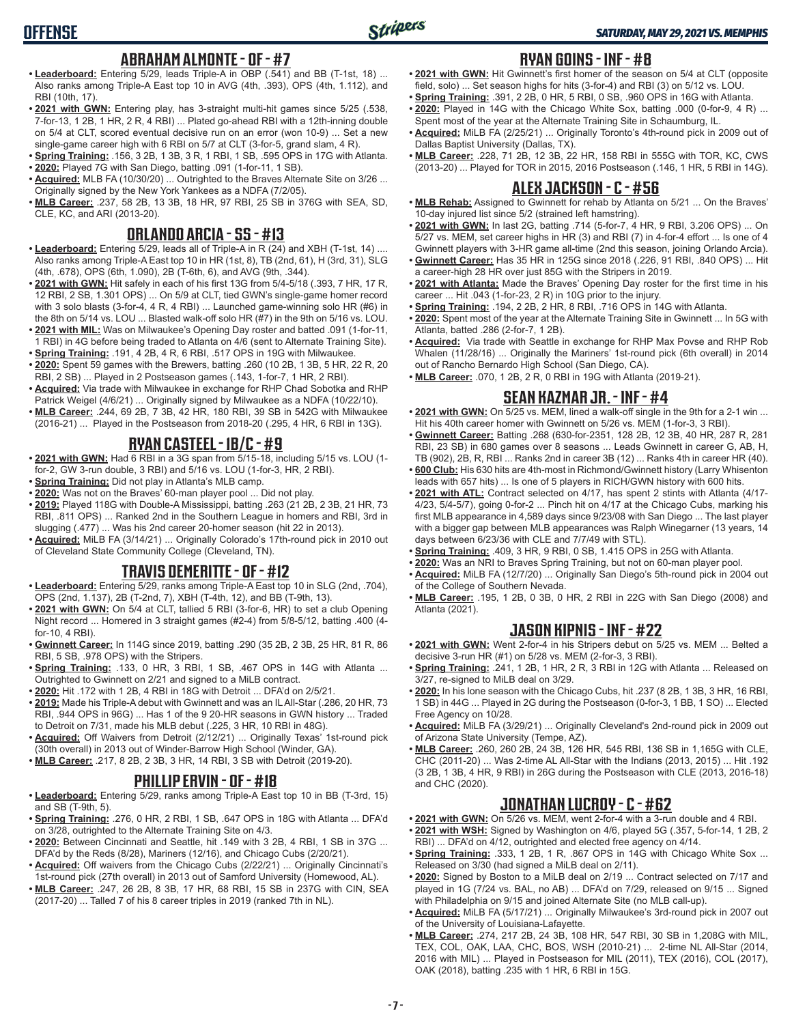## **ABRAHAM ALMONTE - OF - #7**

- **• Leaderboard:** Entering 5/29, leads Triple-A in OBP (.541) and BB (T-1st, 18) ... Also ranks among Triple-A East top 10 in AVG (4th, .393), OPS (4th, 1.112), and RBI (10th, 17).
- **• 2021 with GWN:** Entering play, has 3-straight multi-hit games since 5/25 (.538, 7-for-13, 1 2B, 1 HR, 2 R, 4 RBI) ... Plated go-ahead RBI with a 12th-inning double on 5/4 at CLT, scored eventual decisive run on an error (won 10-9) ... Set a new single-game career high with 6 RBI on 5/7 at CLT (3-for-5, grand slam, 4 R).
- **• Spring Training:** .156, 3 2B, 1 3B, 3 R, 1 RBI, 1 SB, .595 OPS in 17G with Atlanta. **• 2020:** Played 7G with San Diego, batting .091 (1-for-11, 1 SB).
- **• Acquired:** MLB FA (10/30/20) ... Outrighted to the Braves Alternate Site on 3/26 ... Originally signed by the New York Yankees as a NDFA (7/2/05).
- **• MLB Career:** .237, 58 2B, 13 3B, 18 HR, 97 RBI, 25 SB in 376G with SEA, SD, CLE, KC, and ARI (2013-20).

## **ORLANDO ARCIA - SS - #13**

- **• Leaderboard:** Entering 5/29, leads all of Triple-A in R (24) and XBH (T-1st, 14) .... Also ranks among Triple-A East top 10 in HR (1st, 8), TB (2nd, 61), H (3rd, 31), SLG (4th, .678), OPS (6th, 1.090), 2B (T-6th, 6), and AVG (9th, .344).
- **• 2021 with GWN:** Hit safely in each of his first 13G from 5/4-5/18 (.393, 7 HR, 17 R, 12 RBI, 2 SB, 1.301 OPS) ... On 5/9 at CLT, tied GWN's single-game homer record with 3 solo blasts (3-for-4, 4 R, 4 RBI) ... Launched game-winning solo HR (#6) in the 8th on 5/14 vs. LOU ... Blasted walk-off solo HR (#7) in the 9th on 5/16 vs. LOU.
- **• 2021 with MIL:** Was on Milwaukee's Opening Day roster and batted .091 (1-for-11, 1 RBI) in 4G before being traded to Atlanta on 4/6 (sent to Alternate Training Site).
- **• Spring Training:** .191, 4 2B, 4 R, 6 RBI, .517 OPS in 19G with Milwaukee. **• 2020:** Spent 59 games with the Brewers, batting .260 (10 2B, 1 3B, 5 HR, 22 R, 20
- RBI, 2 SB) ... Played in 2 Postseason games (.143, 1-for-7, 1 HR, 2 RBI). **• Acquired:** Via trade with Milwaukee in exchange for RHP Chad Sobotka and RHP
- Patrick Weigel (4/6/21) ... Originally signed by Milwaukee as a NDFA (10/22/10). **• MLB Career:** .244, 69 2B, 7 3B, 42 HR, 180 RBI, 39 SB in 542G with Milwaukee
- (2016-21) ... Played in the Postseason from 2018-20 (.295, 4 HR, 6 RBI in 13G).

#### **RYAN CASTEEL - 1B/C - #9**

- **• 2021 with GWN:** Had 6 RBI in a 3G span from 5/15-18, including 5/15 vs. LOU (1 for-2, GW 3-run double, 3 RBI) and 5/16 vs. LOU (1-for-3, HR, 2 RBI).
- **• Spring Training:** Did not play in Atlanta's MLB camp.
- **• 2020:** Was not on the Braves' 60-man player pool ... Did not play.
- **• 2019:** Played 118G with Double-A Mississippi, batting .263 (21 2B, 2 3B, 21 HR, 73 RBI, .811 OPS) ... Ranked 2nd in the Southern League in homers and RBI, 3rd in slugging (.477) ... Was his 2nd career 20-homer season (hit 22 in 2013).
- **• Acquired:** MiLB FA (3/14/21) ... Originally Colorado's 17th-round pick in 2010 out of Cleveland State Community College (Cleveland, TN).

### **TRAVIS DEMERITTE - OF - #12**

- **• Leaderboard:** Entering 5/29, ranks among Triple-A East top 10 in SLG (2nd, .704), OPS (2nd, 1.137), 2B (T-2nd, 7), XBH (T-4th, 12), and BB (T-9th, 13).
- **• 2021 with GWN:** On 5/4 at CLT, tallied 5 RBI (3-for-6, HR) to set a club Opening Night record ... Homered in 3 straight games (#2-4) from 5/8-5/12, batting .400 (4 for-10, 4 RBI).
- **• Gwinnett Career:** In 114G since 2019, batting .290 (35 2B, 2 3B, 25 HR, 81 R, 86 RBI, 5 SB, .978 OPS) with the Stripers.
- **• Spring Training:** .133, 0 HR, 3 RBI, 1 SB, .467 OPS in 14G with Atlanta ... Outrighted to Gwinnett on 2/21 and signed to a MiLB contract.
- **• 2020:** Hit .172 with 1 2B, 4 RBI in 18G with Detroit ... DFA'd on 2/5/21.
- **• 2019:** Made his Triple-A debut with Gwinnett and was an IL All-Star (.286, 20 HR, 73 RBI, .944 OPS in 96G) ... Has 1 of the 9 20-HR seasons in GWN history ... Traded to Detroit on 7/31, made his MLB debut (.225, 3 HR, 10 RBI in 48G).
- **• Acquired:** Off Waivers from Detroit (2/12/21) ... Originally Texas' 1st-round pick (30th overall) in 2013 out of Winder-Barrow High School (Winder, GA).
- **• MLB Career:** .217, 8 2B, 2 3B, 3 HR, 14 RBI, 3 SB with Detroit (2019-20).

## **PHILLIP ERVIN - OF - #18**

- **• Leaderboard:** Entering 5/29, ranks among Triple-A East top 10 in BB (T-3rd, 15) and SB (T-9th, 5).
- **• Spring Training:** .276, 0 HR, 2 RBI, 1 SB, .647 OPS in 18G with Atlanta ... DFA'd on 3/28, outrighted to the Alternate Training Site on 4/3.
- **• 2020:** Between Cincinnati and Seattle, hit .149 with 3 2B, 4 RBI, 1 SB in 37G ... DFA'd by the Reds (8/28), Mariners (12/16), and Chicago Cubs (2/20/21).
- **• Acquired:** Off waivers from the Chicago Cubs (2/22/21) ... Originally Cincinnati's 1st-round pick (27th overall) in 2013 out of Samford University (Homewood, AL).
- **• MLB Career:** .247, 26 2B, 8 3B, 17 HR, 68 RBI, 15 SB in 237G with CIN, SEA (2017-20) ... Talled 7 of his 8 career triples in 2019 (ranked 7th in NL).

## **RYAN GOINS - INF - #8**

- **• 2021 with GWN:** Hit Gwinnett's first homer of the season on 5/4 at CLT (opposite field, solo) ... Set season highs for hits (3-for-4) and RBI (3) on 5/12 vs. LOU.
- **• Spring Training:** .391, 2 2B, 0 HR, 5 RBI, 0 SB, .960 OPS in 16G with Atlanta.
- **• 2020:** Played in 14G with the Chicago White Sox, batting .000 (0-for-9, 4 R) ... Spent most of the year at the Alternate Training Site in Schaumburg, IL.
- **• Acquired:** MiLB FA (2/25/21) ... Originally Toronto's 4th-round pick in 2009 out of Dallas Baptist University (Dallas, TX).
- **• MLB Career:** .228, 71 2B, 12 3B, 22 HR, 158 RBI in 555G with TOR, KC, CWS (2013-20) ... Played for TOR in 2015, 2016 Postseason (.146, 1 HR, 5 RBI in 14G).

### **ALEX JACKSON - C - #56**

- **• MLB Rehab:** Assigned to Gwinnett for rehab by Atlanta on 5/21 ... On the Braves' 10-day injured list since 5/2 (strained left hamstring).
- **• 2021 with GWN:** In last 2G, batting .714 (5-for-7, 4 HR, 9 RBI, 3.206 OPS) ... On 5/27 vs. MEM, set career highs in HR (3) and RBI (7) in 4-for-4 effort ... Is one of 4 Gwinnett players with 3-HR game all-time (2nd this season, joining Orlando Arcia).
- **• Gwinnett Career:** Has 35 HR in 125G since 2018 (.226, 91 RBI, .840 OPS) ... Hit a career-high 28 HR over just 85G with the Stripers in 2019.
- **• 2021 with Atlanta:** Made the Braves' Opening Day roster for the first time in his career ... Hit .043 (1-for-23, 2 R) in 10G prior to the injury.
- **• Spring Training:** .194, 2 2B, 2 HR, 8 RBI, .716 OPS in 14G with Atlanta.
- **• 2020:** Spent most of the year at the Alternate Training Site in Gwinnett ... In 5G with Atlanta, batted .286 (2-for-7, 1 2B).
- **• Acquired:** Via trade with Seattle in exchange for RHP Max Povse and RHP Rob Whalen (11/28/16) ... Originally the Mariners' 1st-round pick (6th overall) in 2014 out of Rancho Bernardo High School (San Diego, CA).
- **• MLB Career:** .070, 1 2B, 2 R, 0 RBI in 19G with Atlanta (2019-21).

# **SEAN KAZMAR JR. - INF - #4**

- **• 2021 with GWN:** On 5/25 vs. MEM, lined a walk-off single in the 9th for a 2-1 win ... Hit his 40th career homer with Gwinnett on 5/26 vs. MEM (1-for-3, 3 RBI).
- **• Gwinnett Career:** Batting .268 (630-for-2351, 128 2B, 12 3B, 40 HR, 287 R, 281 RBI, 23 SB) in 680 games over 8 seasons ... Leads Gwinnett in career G, AB, H, TB (902), 2B, R, RBI ... Ranks 2nd in career 3B (12) ... Ranks 4th in career HR (40).
- **• 600 Club:** His 630 hits are 4th-most in Richmond/Gwinnett history (Larry Whisenton leads with 657 hits) ... Is one of 5 players in RICH/GWN history with 600 hits.
- **• 2021 with ATL:** Contract selected on 4/17, has spent 2 stints with Atlanta (4/17- 4/23, 5/4-5/7), going 0-for-2 ... Pinch hit on 4/17 at the Chicago Cubs, marking his first MLB appearance in 4,589 days since 9/23/08 with San Diego ... The last player with a bigger gap between MLB appearances was Ralph Winegarner (13 years, 14 days between 6/23/36 with CLE and 7/7/49 with STL).
- **• Spring Training:** .409, 3 HR, 9 RBI, 0 SB, 1.415 OPS in 25G with Atlanta.
- **• 2020:** Was an NRI to Braves Spring Training, but not on 60-man player pool.
- **• Acquired:** MiLB FA (12/7/20) ... Originally San Diego's 5th-round pick in 2004 out of the College of Southern Nevada.
- **• MLB Career:** .195, 1 2B, 0 3B, 0 HR, 2 RBI in 22G with San Diego (2008) and Atlanta (2021).

# **JASON KIPNIS - INF - #22**

- **• 2021 with GWN:** Went 2-for-4 in his Stripers debut on 5/25 vs. MEM ... Belted a decisive 3-run HR (#1) on 5/28 vs. MEM (2-for-3, 3 RBI).
- **• Spring Training:** .241, 1 2B, 1 HR, 2 R, 3 RBI in 12G with Atlanta ... Released on 3/27, re-signed to MiLB deal on 3/29.
- **• 2020:** In his lone season with the Chicago Cubs, hit .237 (8 2B, 1 3B, 3 HR, 16 RBI, 1 SB) in 44G ... Played in 2G during the Postseason (0-for-3, 1 BB, 1 SO) ... Elected Free Agency on 10/28.
- **• Acquired:** MiLB FA (3/29/21) ... Originally Cleveland's 2nd-round pick in 2009 out of Arizona State University (Tempe, AZ).
- **• MLB Career:** .260, 260 2B, 24 3B, 126 HR, 545 RBI, 136 SB in 1,165G with CLE, CHC (2011-20) ... Was 2-time AL All-Star with the Indians (2013, 2015) ... Hit .192 (3 2B, 1 3B, 4 HR, 9 RBI) in 26G during the Postseason with CLE (2013, 2016-18) and CHC (2020).

# **JONATHAN LUCROY - C - #62**

- **• 2021 with GWN:** On 5/26 vs. MEM, went 2-for-4 with a 3-run double and 4 RBI. **• 2021 with WSH:** Signed by Washington on 4/6, played 5G (.357, 5-for-14, 1 2B, 2
- RBI) ... DFA'd on 4/12, outrighted and elected free agency on 4/14.
- **• Spring Training:** .333, 1 2B, 1 R, .867 OPS in 14G with Chicago White Sox ... Released on 3/30 (had signed a MiLB deal on 2/11).
- **• 2020:** Signed by Boston to a MiLB deal on 2/19 ... Contract selected on 7/17 and played in 1G (7/24 vs. BAL, no AB) ... DFA'd on 7/29, released on 9/15 ... Signed with Philadelphia on 9/15 and joined Alternate Site (no MLB call-up).
- **• Acquired:** MiLB FA (5/17/21) ... Originally Milwaukee's 3rd-round pick in 2007 out of the University of Louisiana-Lafayette.
- **• MLB Career:** .274, 217 2B, 24 3B, 108 HR, 547 RBI, 30 SB in 1,208G with MIL, TEX, COL, OAK, LAA, CHC, BOS, WSH (2010-21) ... 2-time NL All-Star (2014, 2016 with MIL) ... Played in Postseason for MIL (2011), TEX (2016), COL (2017), OAK (2018), batting .235 with 1 HR, 6 RBI in 15G.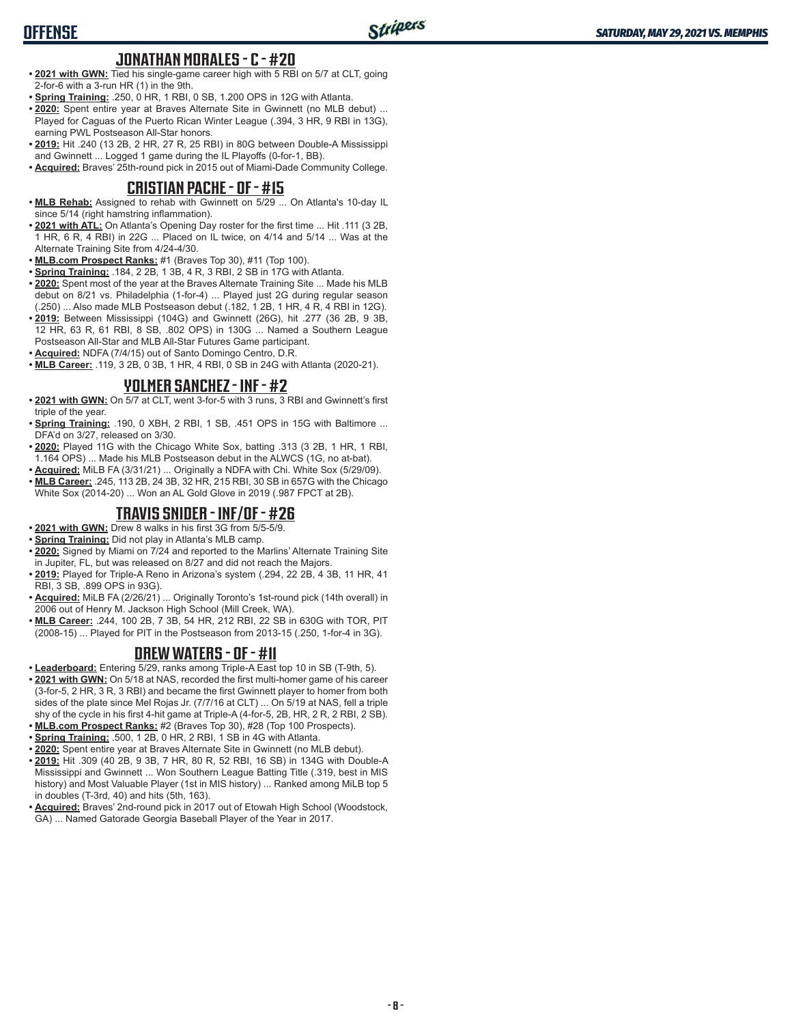#### **JONATHAN MORALES - C - #20**

- **• 2021 with GWN:** Tied his single-game career high with 5 RBI on 5/7 at CLT, going 2-for-6 with a 3-run HR (1) in the 9th.
- **• Spring Training:** .250, 0 HR, 1 RBI, 0 SB, 1.200 OPS in 12G with Atlanta.
- **• 2020:** Spent entire year at Braves Alternate Site in Gwinnett (no MLB debut) ... Played for Caguas of the Puerto Rican Winter League (.394, 3 HR, 9 RBI in 13G), earning PWL Postseason All-Star honors.
- **• 2019:** Hit .240 (13 2B, 2 HR, 27 R, 25 RBI) in 80G between Double-A Mississippi and Gwinnett ... Logged 1 game during the IL Playoffs (0-for-1, BB).

**• Acquired:** Braves' 25th-round pick in 2015 out of Miami-Dade Community College.

#### **CRISTIAN PACHE - OF - #15**

- **• MLB Rehab:** Assigned to rehab with Gwinnett on 5/29 ... On Atlanta's 10-day IL since 5/14 (right hamstring inflammation).
- **• 2021 with ATL:** On Atlanta's Opening Day roster for the first time ... Hit .111 (3 2B, 1 HR, 6 R, 4 RBI) in 22G ... Placed on IL twice, on 4/14 and 5/14 ... Was at the Alternate Training Site from 4/24-4/30.
- **• MLB.com Prospect Ranks:** #1 (Braves Top 30), #11 (Top 100).
- **• Spring Training:** .184, 2 2B, 1 3B, 4 R, 3 RBI, 2 SB in 17G with Atlanta.
- **• 2020:** Spent most of the year at the Braves Alternate Training Site ... Made his MLB debut on 8/21 vs. Philadelphia (1-for-4) ... Played just 2G during regular season (.250) ... Also made MLB Postseason debut (.182, 1 2B, 1 HR, 4 R, 4 RBI in 12G).
- **• 2019:** Between Mississippi (104G) and Gwinnett (26G), hit .277 (36 2B, 9 3B, 12 HR, 63 R, 61 RBI, 8 SB, .802 OPS) in 130G ... Named a Southern League Postseason All-Star and MLB All-Star Futures Game participant.
- **• Acquired:** NDFA (7/4/15) out of Santo Domingo Centro, D.R.
- **• MLB Career:** .119, 3 2B, 0 3B, 1 HR, 4 RBI, 0 SB in 24G with Atlanta (2020-21).

#### **YOLMER SANCHEZ - INF - #2**

- **• 2021 with GWN:** On 5/7 at CLT, went 3-for-5 with 3 runs, 3 RBI and Gwinnett's first triple of the year.
- **• Spring Training:** .190, 0 XBH, 2 RBI, 1 SB, .451 OPS in 15G with Baltimore ... DFA'd on 3/27, released on 3/30.
- **• 2020:** Played 11G with the Chicago White Sox, batting .313 (3 2B, 1 HR, 1 RBI, 1.164 OPS) ... Made his MLB Postseason debut in the ALWCS (1G, no at-bat).
- **• Acquired:** MiLB FA (3/31/21) ... Originally a NDFA with Chi. White Sox (5/29/09).
- **• MLB Career:** .245, 113 2B, 24 3B, 32 HR, 215 RBI, 30 SB in 657G with the Chicago White Sox (2014-20) ... Won an AL Gold Glove in 2019 (.987 FPCT at 2B).

#### **TRAVIS SNIDER - INF/OF - #26**

- **• 2021 with GWN:** Drew 8 walks in his first 3G from 5/5-5/9.
- **• Spring Training:** Did not play in Atlanta's MLB camp.
- **• 2020:** Signed by Miami on 7/24 and reported to the Marlins' Alternate Training Site in Jupiter, FL, but was released on 8/27 and did not reach the Majors.
- **• 2019:** Played for Triple-A Reno in Arizona's system (.294, 22 2B, 4 3B, 11 HR, 41 RBI, 3 SB, .899 OPS in 93G).
- **• Acquired:** MiLB FA (2/26/21) ... Originally Toronto's 1st-round pick (14th overall) in 2006 out of Henry M. Jackson High School (Mill Creek, WA).
- **• MLB Career:** .244, 100 2B, 7 3B, 54 HR, 212 RBI, 22 SB in 630G with TOR, PIT (2008-15) ... Played for PIT in the Postseason from 2013-15 (.250, 1-for-4 in 3G).

### **DREW WATERS - OF - #11**

- **• Leaderboard:** Entering 5/29, ranks among Triple-A East top 10 in SB (T-9th, 5).
- **• 2021 with GWN:** On 5/18 at NAS, recorded the first multi-homer game of his career (3-for-5, 2 HR, 3 R, 3 RBI) and became the first Gwinnett player to homer from both sides of the plate since Mel Rojas Jr. (7/7/16 at CLT) ... On 5/19 at NAS, fell a triple shy of the cycle in his first 4-hit game at Triple-A (4-for-5, 2B, HR, 2 R, 2 RBI, 2 SB).
- **• MLB.com Prospect Ranks:** #2 (Braves Top 30), #28 (Top 100 Prospects).
- **• Spring Training:** .500, 1 2B, 0 HR, 2 RBI, 1 SB in 4G with Atlanta.
- **• 2020:** Spent entire year at Braves Alternate Site in Gwinnett (no MLB debut).
- **• 2019:** Hit .309 (40 2B, 9 3B, 7 HR, 80 R, 52 RBI, 16 SB) in 134G with Double-A Mississippi and Gwinnett ... Won Southern League Batting Title (.319, best in MIS history) and Most Valuable Player (1st in MIS history) ... Ranked among MiLB top 5 in doubles (T-3rd, 40) and hits (5th, 163).
- **• Acquired:** Braves' 2nd-round pick in 2017 out of Etowah High School (Woodstock, GA) ... Named Gatorade Georgia Baseball Player of the Year in 2017.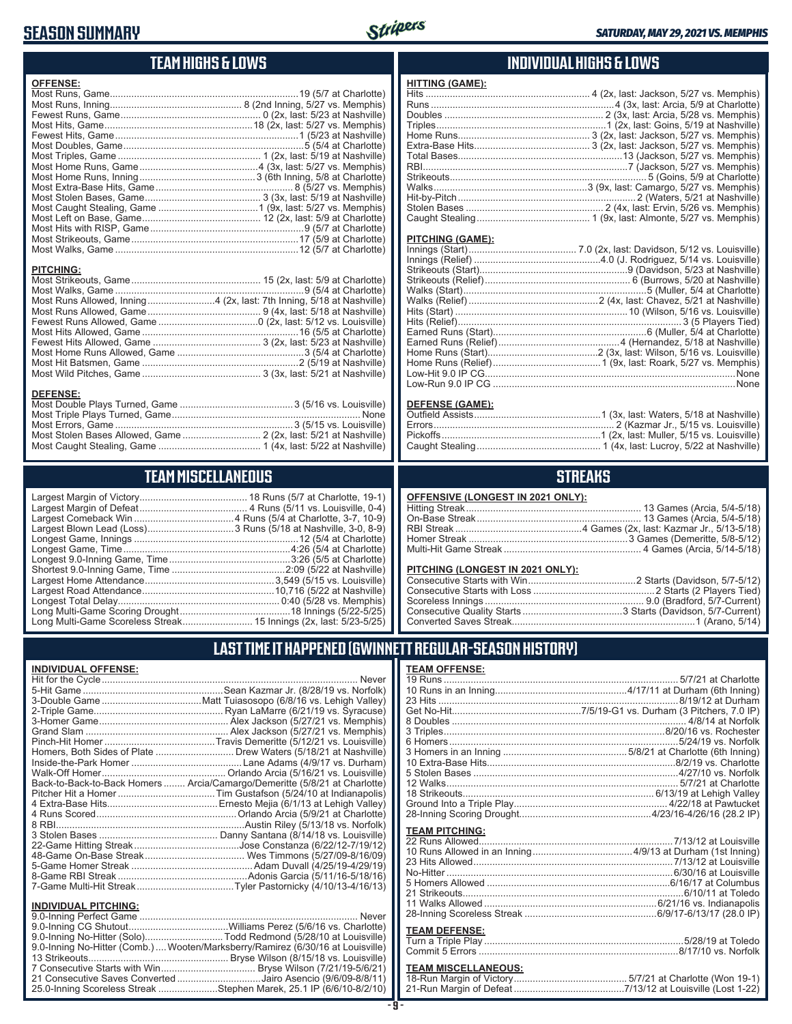# **SEASON SUMMARY**



# **TEAM HIGHS & LOWS**

| <b>OFFENSE:</b>  |                                                                      |
|------------------|----------------------------------------------------------------------|
|                  |                                                                      |
|                  |                                                                      |
|                  |                                                                      |
|                  |                                                                      |
|                  |                                                                      |
|                  |                                                                      |
|                  |                                                                      |
|                  |                                                                      |
|                  |                                                                      |
|                  |                                                                      |
|                  |                                                                      |
|                  |                                                                      |
|                  |                                                                      |
|                  |                                                                      |
|                  |                                                                      |
|                  |                                                                      |
|                  |                                                                      |
| <b>PITCHING:</b> |                                                                      |
|                  |                                                                      |
|                  |                                                                      |
|                  | Most Runs Allowed, Inning4 (2x, last: 7th Inning, 5/18 at Nashville) |
|                  |                                                                      |
|                  |                                                                      |
|                  |                                                                      |
|                  |                                                                      |
|                  |                                                                      |
|                  |                                                                      |
|                  |                                                                      |
|                  |                                                                      |
| <b>DEFENSE:</b>  |                                                                      |
|                  |                                                                      |
|                  | Most Triple Playe Turned Came                                        |

| Most Stolen Bases Allowed, Game  2 (2x, last: 5/21 at Nashville) |  |
|------------------------------------------------------------------|--|
|                                                                  |  |

# **TEAM MISCELLANEOUS**

## **INDIVIDUAL HIGHS & LOWS**

| <b>HITTING (GAME):</b> |  |
|------------------------|--|
|                        |  |
|                        |  |
|                        |  |
|                        |  |
|                        |  |
|                        |  |
|                        |  |
|                        |  |
|                        |  |
|                        |  |
|                        |  |
|                        |  |
|                        |  |
|                        |  |

#### **PITCHING (GAME):**

| Low-Run 9.0 IP CG …………………………………………………………………………………None |
|-------------------------------------------------------|
|                                                       |

#### **DEFENSE (GAME):**

# **STREAKS**

| OFFENSIVE (LONGEST IN 2021 ONLY): |  |  |  |  |
|-----------------------------------|--|--|--|--|
|-----------------------------------|--|--|--|--|

#### **PITCHING (LONGEST IN 2021 ONLY):**

## **LAST TIME IT HAPPENED (GWINNETT REGULAR-SEASON HISTORY)**

| <b>INDIVIDUAL OFFENSE:</b>  |                                                                            |
|-----------------------------|----------------------------------------------------------------------------|
|                             | <b>Never</b>                                                               |
|                             |                                                                            |
|                             |                                                                            |
|                             |                                                                            |
|                             |                                                                            |
|                             |                                                                            |
|                             |                                                                            |
|                             |                                                                            |
|                             |                                                                            |
|                             |                                                                            |
|                             | Back-to-Back-to-Back Homers  Arcia/Camargo/Demeritte (5/8/21 at Charlotte) |
|                             |                                                                            |
|                             |                                                                            |
|                             |                                                                            |
|                             |                                                                            |
|                             |                                                                            |
|                             |                                                                            |
|                             |                                                                            |
|                             |                                                                            |
|                             |                                                                            |
|                             |                                                                            |
|                             |                                                                            |
| <b>INDIVIDUAL PITCHING:</b> |                                                                            |
|                             |                                                                            |

| 9.0-Inning No-Hitter (Solo)Todd Redmond (5/28/10 at Louisville)                 |  |
|---------------------------------------------------------------------------------|--|
| 9.0-Inning No-Hitter (Comb.)  Wooten/Marksberry/Ramirez (6/30/16 at Louisville) |  |
|                                                                                 |  |
|                                                                                 |  |
| 21 Consecutive Saves Converted Jairo Asencio (9/6/09-8/8/11)                    |  |
| 25.0-Inning Scoreless Streak Stephen Marek, 25.1 IP (6/6/10-8/2/10)             |  |
|                                                                                 |  |

#### **TEAM OFFENSE:**

| <b>TEAM PITCHING:</b> |  |
|-----------------------|--|
|                       |  |
|                       |  |
|                       |  |
|                       |  |
|                       |  |
|                       |  |
|                       |  |
|                       |  |
| <b>TEAM DEFENSE:</b>  |  |
|                       |  |
|                       |  |

#### **TEAM MISCELLANEOUS:** 18-Run Margin of Victory .......................................... 5/7/21 at Charlotte (Won 19-1) 21-Run Margin of Defeat .........................................7/13/12 at Louisville (Lost 1-22)